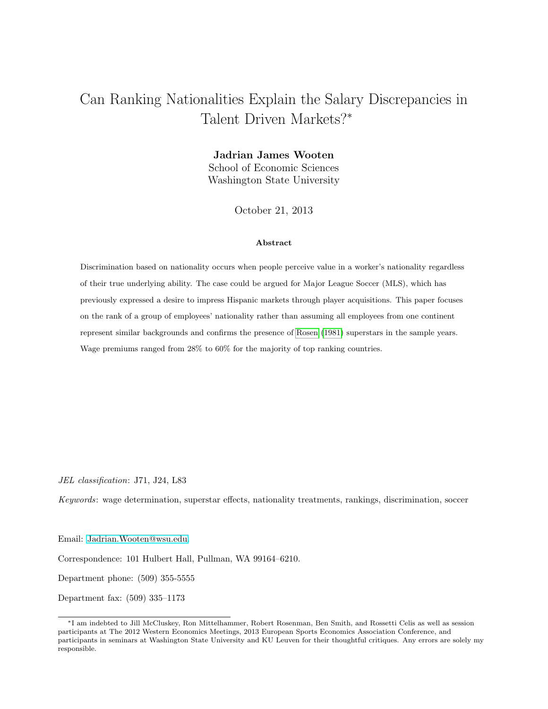# Can Ranking Nationalities Explain the Salary Discrepancies in Talent Driven Markets?<sup>∗</sup>

#### Jadrian James Wooten

School of Economic Sciences Washington State University

October 21, 2013

#### Abstract

Discrimination based on nationality occurs when people perceive value in a worker's nationality regardless of their true underlying ability. The case could be argued for Major League Soccer (MLS), which has previously expressed a desire to impress Hispanic markets through player acquisitions. This paper focuses on the rank of a group of employees' nationality rather than assuming all employees from one continent represent similar backgrounds and confirms the presence of [Rosen](#page-22-0) [\(1981\)](#page-22-0) superstars in the sample years. Wage premiums ranged from 28% to 60% for the majority of top ranking countries.

JEL classification: J71, J24, L83

Keywords: wage determination, superstar effects, nationality treatments, rankings, discrimination, soccer

Email: [Jadrian.Wooten@wsu.edu.](mailto:jadrian.wooten@wsu.edu)

Correspondence: 101 Hulbert Hall, Pullman, WA 99164–6210.

Department phone: (509) 355-5555

Department fax: (509) 335–1173

<sup>∗</sup>I am indebted to Jill McCluskey, Ron Mittelhammer, Robert Rosenman, Ben Smith, and Rossetti Celis as well as session participants at The 2012 Western Economics Meetings, 2013 European Sports Economics Association Conference, and participants in seminars at Washington State University and KU Leuven for their thoughtful critiques. Any errors are solely my responsible.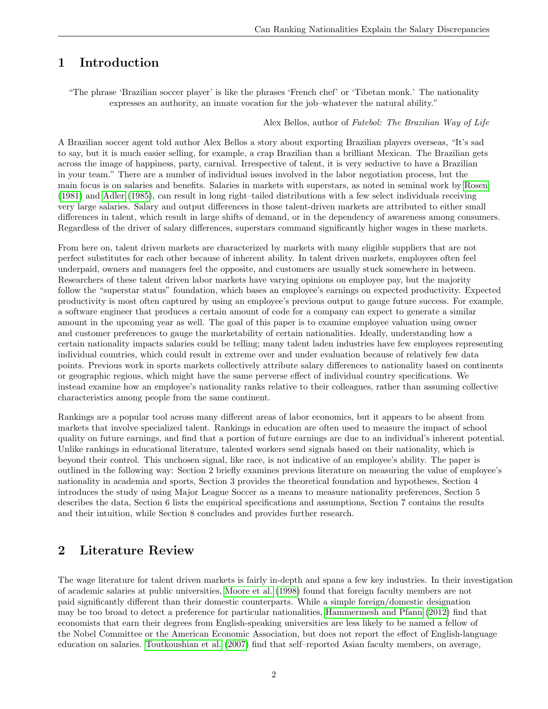# 1 Introduction

"The phrase 'Brazilian soccer player' is like the phrases 'French chef' or 'Tibetan monk.' The nationality expresses an authority, an innate vocation for the job–whatever the natural ability."

Alex Bellos, author of Futebol: The Brazilian Way of Life

A Brazilian soccer agent told author Alex Bellos a story about exporting Brazilian players overseas, "It's sad to say, but it is much easier selling, for example, a crap Brazilian than a brilliant Mexican. The Brazilian gets across the image of happiness, party, carnival. Irrespective of talent, it is very seductive to have a Brazilian in your team." There are a number of individual issues involved in the labor negotiation process, but the main focus is on salaries and benefits. Salaries in markets with superstars, as noted in seminal work by [Rosen](#page-22-0) [\(1981\)](#page-22-0) and [Adler](#page-22-1) [\(1985\)](#page-22-1), can result in long right–tailed distributions with a few select individuals receiving very large salaries. Salary and output differences in those talent-driven markets are attributed to either small differences in talent, which result in large shifts of demand, or in the dependency of awareness among consumers. Regardless of the driver of salary differences, superstars command significantly higher wages in these markets.

From here on, talent driven markets are characterized by markets with many eligible suppliers that are not perfect substitutes for each other because of inherent ability. In talent driven markets, employees often feel underpaid, owners and managers feel the opposite, and customers are usually stuck somewhere in between. Researchers of these talent driven labor markets have varying opinions on employee pay, but the majority follow the "superstar status" foundation, which bases an employee's earnings on expected productivity. Expected productivity is most often captured by using an employee's previous output to gauge future success. For example, a software engineer that produces a certain amount of code for a company can expect to generate a similar amount in the upcoming year as well. The goal of this paper is to examine employee valuation using owner and customer preferences to gauge the marketability of certain nationalities. Ideally, understanding how a certain nationality impacts salaries could be telling; many talent laden industries have few employees representing individual countries, which could result in extreme over and under evaluation because of relatively few data points. Previous work in sports markets collectively attribute salary differences to nationality based on continents or geographic regions, which might have the same perverse effect of individual country specifications. We instead examine how an employee's nationality ranks relative to their colleagues, rather than assuming collective characteristics among people from the same continent.

Rankings are a popular tool across many different areas of labor economics, but it appears to be absent from markets that involve specialized talent. Rankings in education are often used to measure the impact of school quality on future earnings, and find that a portion of future earnings are due to an individual's inherent potential. Unlike rankings in educational literature, talented workers send signals based on their nationality, which is beyond their control. This unchosen signal, like race, is not indicative of an employee's ability. The paper is outlined in the following way: Section 2 briefly examines previous literature on measuring the value of employee's nationality in academia and sports, Section 3 provides the theoretical foundation and hypotheses, Section 4 introduces the study of using Major League Soccer as a means to measure nationality preferences, Section 5 describes the data, Section 6 lists the empirical specifications and assumptions, Section 7 contains the results and their intuition, while Section 8 concludes and provides further research.

### 2 Literature Review

The wage literature for talent driven markets is fairly in-depth and spans a few key industries. In their investigation of academic salaries at public universities, [Moore et al.](#page-22-2) [\(1998\)](#page-22-2) found that foreign faculty members are not paid significantly different than their domestic counterparts. While a simple foreign/domestic designation may be too broad to detect a preference for particular nationalities, [Hammermesh and Pfann](#page-22-3) [\(2012\)](#page-22-3) find that economists that earn their degrees from English-speaking universities are less likely to be named a fellow of the Nobel Committee or the American Economic Association, but does not report the effect of English-language education on salaries. [Toutkoushian et al.](#page-22-4) [\(2007\)](#page-22-4) find that self–reported Asian faculty members, on average,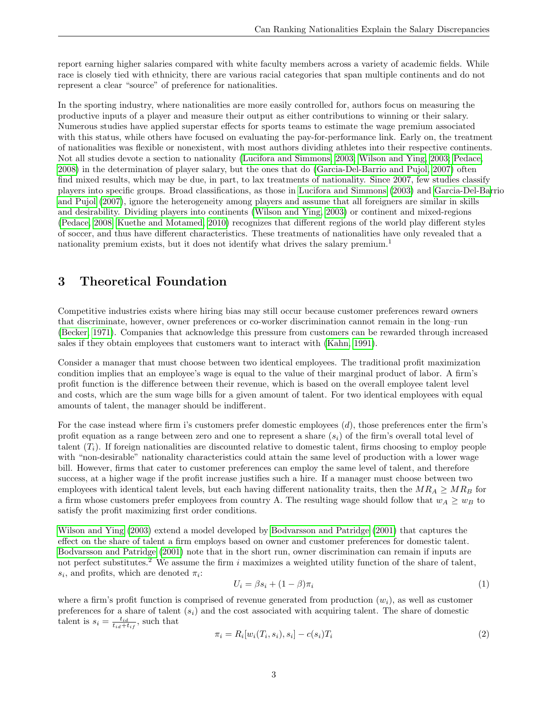report earning higher salaries compared with white faculty members across a variety of academic fields. While race is closely tied with ethnicity, there are various racial categories that span multiple continents and do not represent a clear "source" of preference for nationalities.

In the sporting industry, where nationalities are more easily controlled for, authors focus on measuring the productive inputs of a player and measure their output as either contributions to winning or their salary. Numerous studies have applied superstar effects for sports teams to estimate the wage premium associated with this status, while others have focused on evaluating the pay-for-performance link. Early on, the treatment of nationalities was flexible or nonexistent, with most authors dividing athletes into their respective continents. Not all studies devote a section to nationality [\(Lucifora and Simmons, 2003;](#page-22-5) [Wilson and Ying, 2003;](#page-22-6) [Pedace,](#page-22-7) [2008\)](#page-22-7) in the determination of player salary, but the ones that do [\(Garcia-Del-Barrio and Pujol, 2007\)](#page-22-8) often find mixed results, which may be due, in part, to lax treatments of nationality. Since 2007, few studies classify players into specific groups. Broad classifications, as those in [Lucifora and Simmons](#page-22-5) [\(2003\)](#page-22-5) and [Garcia-Del-Bar](#page-22-8)rio [and Pujol](#page-22-8) [\(2007\)](#page-22-8), ignore the heterogeneity among players and assume that all foreigners are similar in skills and desirability. Dividing players into continents [\(Wilson and Ying, 2003\)](#page-22-6) or continent and mixed-regions [\(Pedace, 2008;](#page-22-7) [Kuethe and Motamed, 2010\)](#page-22-9) recognizes that different regions of the world play different styles of soccer, and thus have different characteristics. These treatments of nationalities have only revealed that a nationality premium exists, but it does not identify what drives the salary premium.<sup>1</sup>

#### 3 Theoretical Foundation

Competitive industries exists where hiring bias may still occur because customer preferences reward owners that discriminate, however, owner preferences or co-worker discrimination cannot remain in the long–run [\(Becker, 1971\)](#page-22-10). Companies that acknowledge this pressure from customers can be rewarded through increased sales if they obtain employees that customers want to interact with [\(Kahn, 1991\)](#page-22-11).

Consider a manager that must choose between two identical employees. The traditional profit maximization condition implies that an employee's wage is equal to the value of their marginal product of labor. A firm's profit function is the difference between their revenue, which is based on the overall employee talent level and costs, which are the sum wage bills for a given amount of talent. For two identical employees with equal amounts of talent, the manager should be indifferent.

For the case instead where firm i's customers prefer domestic employees (d), those preferences enter the firm's profit equation as a range between zero and one to represent a share  $(s_i)$  of the firm's overall total level of talent  $(T_i)$ . If foreign nationalities are discounted relative to domestic talent, firms choosing to employ people with "non-desirable" nationality characteristics could attain the same level of production with a lower wage bill. However, firms that cater to customer preferences can employ the same level of talent, and therefore success, at a higher wage if the profit increase justifies such a hire. If a manager must choose between two employees with identical talent levels, but each having different nationality traits, then the  $MR_A \geq MR_B$  for a firm whose customers prefer employees from country A. The resulting wage should follow that  $w_A \geq w_B$  to satisfy the profit maximizing first order conditions.

[Wilson and Ying](#page-22-6) [\(2003\)](#page-22-6) extend a model developed by [Bodvarsson and Patridge](#page-22-12) [\(2001\)](#page-22-12) that captures the effect on the share of talent a firm employs based on owner and customer preferences for domestic talent. [Bodvarsson and Patridge](#page-22-12) [\(2001\)](#page-22-12) note that in the short run, owner discrimination can remain if inputs are not perfect substitutes.<sup>2</sup> We assume the firm i maximizes a weighted utility function of the share of talent,  $s_i$ , and profits, which are denoted  $\pi_i$ :

<span id="page-2-0"></span>
$$
U_i = \beta s_i + (1 - \beta)\pi_i \tag{1}
$$

where a firm's profit function is comprised of revenue generated from production  $(w_i)$ , as well as customer preferences for a share of talent  $(s_i)$  and the cost associated with acquiring talent. The share of domestic talent is  $s_i = \frac{t_{id}}{t_{id} + t_{if}}$ , such that

<span id="page-2-1"></span>
$$
\pi_i = R_i[w_i(T_i, s_i), s_i] - c(s_i)T_i
$$
\n(2)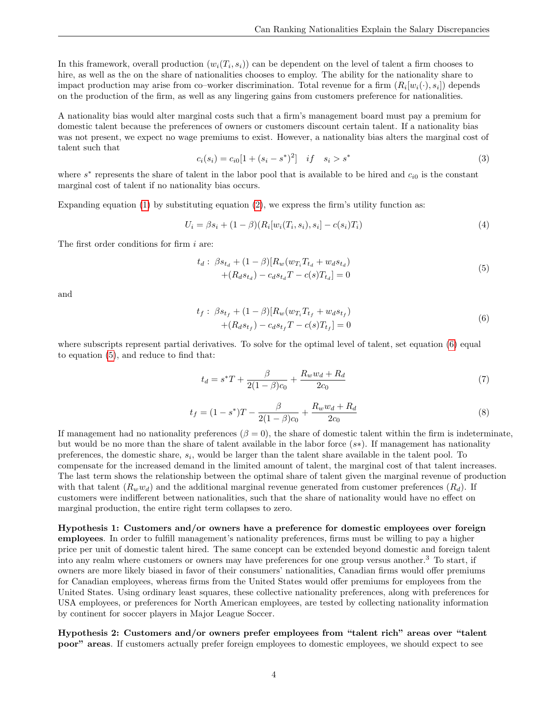In this framework, overall production  $(w_i(T_i, s_i))$  can be dependent on the level of talent a firm chooses to hire, as well as the on the share of nationalities chooses to employ. The ability for the nationality share to impact production may arise from co-worker discrimination. Total revenue for a firm  $(R_i[w_i(\cdot), s_i])$  depends on the production of the firm, as well as any lingering gains from customers preference for nationalities.

A nationality bias would alter marginal costs such that a firm's management board must pay a premium for domestic talent because the preferences of owners or customers discount certain talent. If a nationality bias was not present, we expect no wage premiums to exist. However, a nationality bias alters the marginal cost of talent such that

$$
c_i(s_i) = c_{i0}[1 + (s_i - s^*)^2] \quad if \quad s_i > s^* \tag{3}
$$

where  $s^*$  represents the share of talent in the labor pool that is available to be hired and  $c_{i0}$  is the constant marginal cost of talent if no nationality bias occurs.

Expanding equation  $(1)$  by substituting equation  $(2)$ , we express the firm's utility function as:

$$
U_i = \beta s_i + (1 - \beta)(R_i[w_i(T_i, s_i), s_i] - c(s_i)T_i)
$$
\n(4)

The first order conditions for firm  $i$  are:

<span id="page-3-1"></span>
$$
t_d: \beta s_{t_d} + (1 - \beta)[R_w(w_{T_i}T_{t_d} + w_d s_{t_d}) + (R_d s_{t_d}) - c_d s_{t_d}T - c(s)T_{t_d}] = 0
$$
\n
$$
(5)
$$

<span id="page-3-0"></span>and

$$
t_f: \beta s_{t_f} + (1 - \beta)[R_w(w_{T_i}T_{t_f} + w_d s_{t_f}) + (R_d s_{t_f}) - c_d s_{t_f}T - c(s)T_{t_f}] = 0
$$
\n(6)

where subscripts represent partial derivatives. To solve for the optimal level of talent, set equation [\(6\)](#page-3-0) equal to equation [\(5\)](#page-3-1), and reduce to find that:

$$
t_d = s^*T + \frac{\beta}{2(1-\beta)c_0} + \frac{R_w w_d + R_d}{2c_0} \tag{7}
$$

$$
t_f = (1 - s^*)T - \frac{\beta}{2(1 - \beta)c_0} + \frac{R_w w_d + R_d}{2c_0} \tag{8}
$$

If management had no nationality preferences ( $\beta = 0$ ), the share of domestic talent within the firm is indeterminate, but would be no more than the share of talent available in the labor force (s∗). If management has nationality preferences, the domestic share,  $s_i$ , would be larger than the talent share available in the talent pool. To compensate for the increased demand in the limited amount of talent, the marginal cost of that talent increases. The last term shows the relationship between the optimal share of talent given the marginal revenue of production with that talent  $(R_w w_d)$  and the additional marginal revenue generated from customer preferences  $(R_d)$ . If customers were indifferent between nationalities, such that the share of nationality would have no effect on marginal production, the entire right term collapses to zero.

Hypothesis 1: Customers and/or owners have a preference for domestic employees over foreign employees. In order to fulfill management's nationality preferences, firms must be willing to pay a higher price per unit of domestic talent hired. The same concept can be extended beyond domestic and foreign talent into any realm where customers or owners may have preferences for one group versus another.<sup>3</sup> To start, if owners are more likely biased in favor of their consumers' nationalities, Canadian firms would offer premiums for Canadian employees, whereas firms from the United States would offer premiums for employees from the United States. Using ordinary least squares, these collective nationality preferences, along with preferences for USA employees, or preferences for North American employees, are tested by collecting nationality information by continent for soccer players in Major League Soccer.

Hypothesis 2: Customers and/or owners prefer employees from "talent rich" areas over "talent poor" areas. If customers actually prefer foreign employees to domestic employees, we should expect to see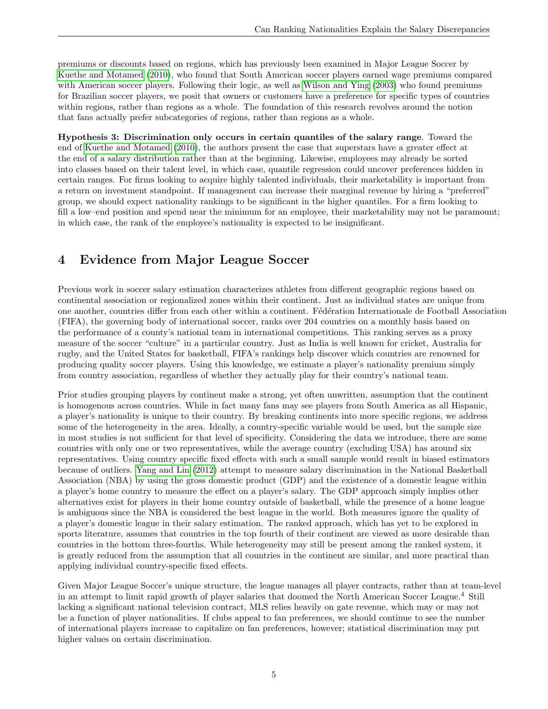premiums or discounts based on regions, which has previously been examined in Major League Soccer by [Kuethe and Motamed](#page-22-9) [\(2010\)](#page-22-9), who found that South American soccer players earned wage premiums compared with American soccer players. Following their logic, as well as [Wilson and Ying](#page-22-6) [\(2003\)](#page-22-6) who found premiums for Brazilian soccer players, we posit that owners or customers have a preference for specific types of countries within regions, rather than regions as a whole. The foundation of this research revolves around the notion that fans actually prefer subcategories of regions, rather than regions as a whole.

Hypothesis 3: Discrimination only occurs in certain quantiles of the salary range. Toward the end of [Kuethe and Motamed](#page-22-9) [\(2010\)](#page-22-9), the authors present the case that superstars have a greater effect at the end of a salary distribution rather than at the beginning. Likewise, employees may already be sorted into classes based on their talent level, in which case, quantile regression could uncover preferences hidden in certain ranges. For firms looking to acquire highly talented individuals, their marketability is important from a return on investment standpoint. If management can increase their marginal revenue by hiring a "preferred" group, we should expect nationality rankings to be significant in the higher quantiles. For a firm looking to fill a low–end position and spend near the minimum for an employee, their marketability may not be paramount; in which case, the rank of the employee's nationality is expected to be insignificant.

# 4 Evidence from Major League Soccer

Previous work in soccer salary estimation characterizes athletes from different geographic regions based on continental association or regionalized zones within their continent. Just as individual states are unique from one another, countries differ from each other within a continent. Fédération Internationale de Football Association (FIFA), the governing body of international soccer, ranks over 204 countries on a monthly basis based on the performance of a county's national team in international competitions. This ranking serves as a proxy measure of the soccer "culture" in a particular country. Just as India is well known for cricket, Australia for rugby, and the United States for basketball, FIFA's rankings help discover which countries are renowned for producing quality soccer players. Using this knowledge, we estimate a player's nationality premium simply from country association, regardless of whether they actually play for their country's national team.

Prior studies grouping players by continent make a strong, yet often unwritten, assumption that the continent is homogenous across countries. While in fact many fans may see players from South America as all Hispanic, a player's nationality is unique to their country. By breaking continents into more specific regions, we address some of the heterogeneity in the area. Ideally, a country-specific variable would be used, but the sample size in most studies is not sufficient for that level of specificity. Considering the data we introduce, there are some countries with only one or two representatives, while the average country (excluding USA) has around six representatives. Using country specific fixed effects with such a small sample would result in biased estimators because of outliers. [Yang and Lin](#page-22-13) [\(2012\)](#page-22-13) attempt to measure salary discrimination in the National Basketball Association (NBA) by using the gross domestic product (GDP) and the existence of a domestic league within a player's home country to measure the effect on a player's salary. The GDP approach simply implies other alternatives exist for players in their home country outside of basketball, while the presence of a home league is ambiguous since the NBA is considered the best league in the world. Both measures ignore the quality of a player's domestic league in their salary estimation. The ranked approach, which has yet to be explored in sports literature, assumes that countries in the top fourth of their continent are viewed as more desirable than countries in the bottom three-fourths. While heterogeneity may still be present among the ranked system, it is greatly reduced from the assumption that all countries in the continent are similar, and more practical than applying individual country-specific fixed effects.

Given Major League Soccer's unique structure, the league manages all player contracts, rather than at team-level in an attempt to limit rapid growth of player salaries that doomed the North American Soccer League.<sup>4</sup> Still lacking a significant national television contract, MLS relies heavily on gate revenue, which may or may not be a function of player nationalities. If clubs appeal to fan preferences, we should continue to see the number of international players increase to capitalize on fan preferences, however; statistical discrimination may put higher values on certain discrimination.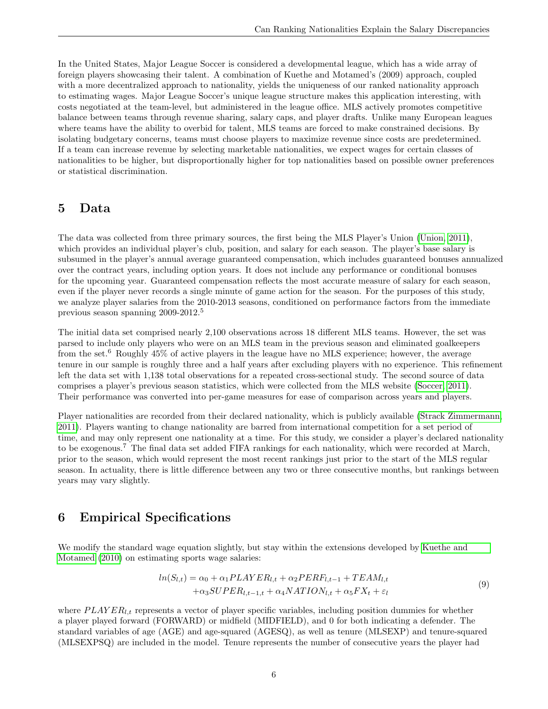In the United States, Major League Soccer is considered a developmental league, which has a wide array of foreign players showcasing their talent. A combination of Kuethe and Motamed's (2009) approach, coupled with a more decentralized approach to nationality, yields the uniqueness of our ranked nationality approach to estimating wages. Major League Soccer's unique league structure makes this application interesting, with costs negotiated at the team-level, but administered in the league office. MLS actively promotes competitive balance between teams through revenue sharing, salary caps, and player drafts. Unlike many European leagues where teams have the ability to overbid for talent, MLS teams are forced to make constrained decisions. By isolating budgetary concerns, teams must choose players to maximize revenue since costs are predetermined. If a team can increase revenue by selecting marketable nationalities, we expect wages for certain classes of nationalities to be higher, but disproportionally higher for top nationalities based on possible owner preferences or statistical discrimination.

#### 5 Data

The data was collected from three primary sources, the first being the MLS Player's Union [\(Union, 2011\)](#page-22-14), which provides an individual player's club, position, and salary for each season. The player's base salary is subsumed in the player's annual average guaranteed compensation, which includes guaranteed bonuses annualized over the contract years, including option years. It does not include any performance or conditional bonuses for the upcoming year. Guaranteed compensation reflects the most accurate measure of salary for each season, even if the player never records a single minute of game action for the season. For the purposes of this study, we analyze player salaries from the 2010-2013 seasons, conditioned on performance factors from the immediate previous season spanning 2009-2012.<sup>5</sup>

The initial data set comprised nearly 2,100 observations across 18 different MLS teams. However, the set was parsed to include only players who were on an MLS team in the previous season and eliminated goalkeepers from the set.<sup>6</sup> Roughly 45% of active players in the league have no MLS experience; however, the average tenure in our sample is roughly three and a half years after excluding players with no experience. This refinement left the data set with 1,138 total observations for a repeated cross-sectional study. The second source of data comprises a player's previous season statistics, which were collected from the MLS website [\(Soccer, 2011\)](#page-22-15). Their performance was converted into per-game measures for ease of comparison across years and players.

Player nationalities are recorded from their declared nationality, which is publicly available [\(Strack Zimmermann,](#page-22-16) [2011\)](#page-22-16). Players wanting to change nationality are barred from international competition for a set period of time, and may only represent one nationality at a time. For this study, we consider a player's declared nationality to be exogenous.<sup>7</sup> The final data set added FIFA rankings for each nationality, which were recorded at March, prior to the season, which would represent the most recent rankings just prior to the start of the MLS regular season. In actuality, there is little difference between any two or three consecutive months, but rankings between years may vary slightly.

# 6 Empirical Specifications

We modify the standard wage equation slightly, but stay within the extensions developed by [Kuethe and](#page-22-9) [Motamed](#page-22-9) [\(2010\)](#page-22-9) on estimating sports wage salaries:

$$
ln(S_{l,t}) = \alpha_0 + \alpha_1 PLAYER_{l,t} + \alpha_2 PERF_{l,t-1} + TEAM_{l,t}
$$
  
+
$$
\alpha_3 SUPER_{l,t-1,t} + \alpha_4 NATION_{l,t} + \alpha_5 FX_t + \varepsilon_l
$$
 (9)

where  $PLAYER_{l,t}$  represents a vector of player specific variables, including position dummies for whether a player played forward (FORWARD) or midfield (MIDFIELD), and 0 for both indicating a defender. The standard variables of age (AGE) and age-squared (AGESQ), as well as tenure (MLSEXP) and tenure-squared (MLSEXPSQ) are included in the model. Tenure represents the number of consecutive years the player had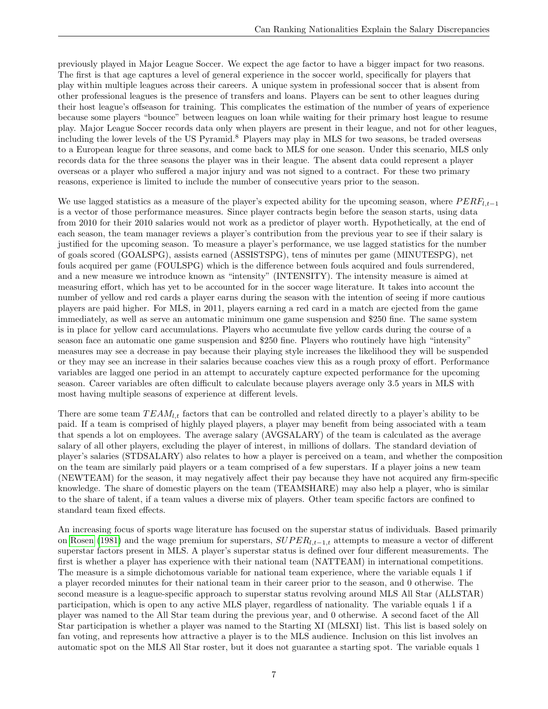previously played in Major League Soccer. We expect the age factor to have a bigger impact for two reasons. The first is that age captures a level of general experience in the soccer world, specifically for players that play within multiple leagues across their careers. A unique system in professional soccer that is absent from other professional leagues is the presence of transfers and loans. Players can be sent to other leagues during their host league's offseason for training. This complicates the estimation of the number of years of experience because some players "bounce" between leagues on loan while waiting for their primary host league to resume play. Major League Soccer records data only when players are present in their league, and not for other leagues, including the lower levels of the US Pyramid.<sup>8</sup> Players may play in MLS for two seasons, be traded overseas to a European league for three seasons, and come back to MLS for one season. Under this scenario, MLS only records data for the three seasons the player was in their league. The absent data could represent a player overseas or a player who suffered a major injury and was not signed to a contract. For these two primary reasons, experience is limited to include the number of consecutive years prior to the season.

We use lagged statistics as a measure of the player's expected ability for the upcoming season, where  $PERF_{l,t-1}$ is a vector of those performance measures. Since player contracts begin before the season starts, using data from 2010 for their 2010 salaries would not work as a predictor of player worth. Hypothetically, at the end of each season, the team manager reviews a player's contribution from the previous year to see if their salary is justified for the upcoming season. To measure a player's performance, we use lagged statistics for the number of goals scored (GOALSPG), assists earned (ASSISTSPG), tens of minutes per game (MINUTESPG), net fouls acquired per game (FOULSPG) which is the difference between fouls acquired and fouls surrendered, and a new measure we introduce known as "intensity" (INTENSITY). The intensity measure is aimed at measuring effort, which has yet to be accounted for in the soccer wage literature. It takes into account the number of yellow and red cards a player earns during the season with the intention of seeing if more cautious players are paid higher. For MLS, in 2011, players earning a red card in a match are ejected from the game immediately, as well as serve an automatic minimum one game suspension and \$250 fine. The same system is in place for yellow card accumulations. Players who accumulate five yellow cards during the course of a season face an automatic one game suspension and \$250 fine. Players who routinely have high "intensity" measures may see a decrease in pay because their playing style increases the likelihood they will be suspended or they may see an increase in their salaries because coaches view this as a rough proxy of effort. Performance variables are lagged one period in an attempt to accurately capture expected performance for the upcoming season. Career variables are often difficult to calculate because players average only 3.5 years in MLS with most having multiple seasons of experience at different levels.

There are some team  $TEAM_{l,t}$  factors that can be controlled and related directly to a player's ability to be paid. If a team is comprised of highly played players, a player may benefit from being associated with a team that spends a lot on employees. The average salary (AVGSALARY) of the team is calculated as the average salary of all other players, excluding the player of interest, in millions of dollars. The standard deviation of player's salaries (STDSALARY) also relates to how a player is perceived on a team, and whether the composition on the team are similarly paid players or a team comprised of a few superstars. If a player joins a new team (NEWTEAM) for the season, it may negatively affect their pay because they have not acquired any firm-specific knowledge. The share of domestic players on the team (TEAMSHARE) may also help a player, who is similar to the share of talent, if a team values a diverse mix of players. Other team specific factors are confined to standard team fixed effects.

An increasing focus of sports wage literature has focused on the superstar status of individuals. Based primarily on [Rosen](#page-22-0) [\(1981\)](#page-22-0) and the wage premium for superstars,  $SUPER_{lt-1,t}$  attempts to measure a vector of different superstar factors present in MLS. A player's superstar status is defined over four different measurements. The first is whether a player has experience with their national team (NATTEAM) in international competitions. The measure is a simple dichotomous variable for national team experience, where the variable equals 1 if a player recorded minutes for their national team in their career prior to the season, and 0 otherwise. The second measure is a league-specific approach to superstar status revolving around MLS All Star (ALLSTAR) participation, which is open to any active MLS player, regardless of nationality. The variable equals 1 if a player was named to the All Star team during the previous year, and 0 otherwise. A second facet of the All Star participation is whether a player was named to the Starting XI (MLSXI) list. This list is based solely on fan voting, and represents how attractive a player is to the MLS audience. Inclusion on this list involves an automatic spot on the MLS All Star roster, but it does not guarantee a starting spot. The variable equals 1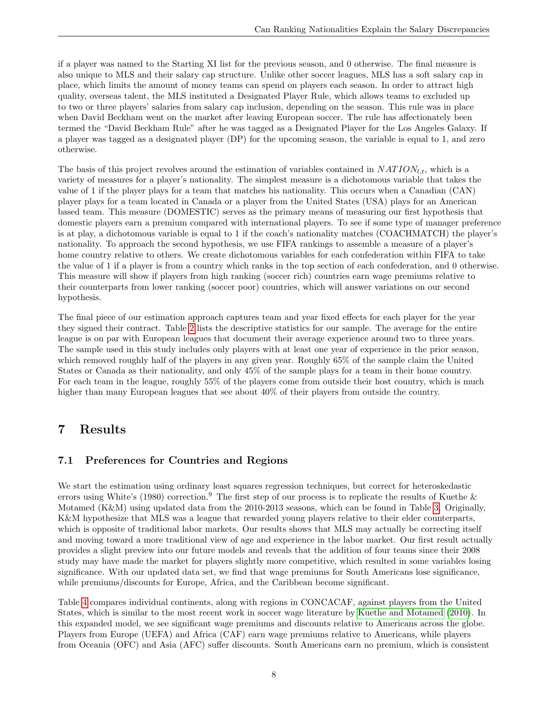if a player was named to the Starting XI list for the previous season, and 0 otherwise. The final measure is also unique to MLS and their salary cap structure. Unlike other soccer leagues, MLS has a soft salary cap in place, which limits the amount of money teams can spend on players each season. In order to attract high quality, overseas talent, the MLS instituted a Designated Player Rule, which allows teams to excluded up to two or three players' salaries from salary cap inclusion, depending on the season. This rule was in place when David Beckham went on the market after leaving European soccer. The rule has affectionately been termed the "David Beckham Rule" after he was tagged as a Designated Player for the Los Angeles Galaxy. If a player was tagged as a designated player (DP) for the upcoming season, the variable is equal to 1, and zero otherwise.

The basis of this project revolves around the estimation of variables contained in  $NATION_{l,t}$ , which is a variety of measures for a player's nationality. The simplest measure is a dichotomous variable that takes the value of 1 if the player plays for a team that matches his nationality. This occurs when a Canadian (CAN) player plays for a team located in Canada or a player from the United States (USA) plays for an American based team. This measure (DOMESTIC) serves as the primary means of measuring our first hypothesis that domestic players earn a premium compared with international players. To see if some type of manager preference is at play, a dichotomous variable is equal to 1 if the coach's nationality matches (COACHMATCH) the player's nationality. To approach the second hypothesis, we use FIFA rankings to assemble a measure of a player's home country relative to others. We create dichotomous variables for each confederation within FIFA to take the value of 1 if a player is from a country which ranks in the top section of each confederation, and 0 otherwise. This measure will show if players from high ranking (soccer rich) countries earn wage premiums relative to their counterparts from lower ranking (soccer poor) countries, which will answer variations on our second hypothesis.

The final piece of our estimation approach captures team and year fixed effects for each player for the year they signed their contract. Table [2](#page-12-0) lists the descriptive statistics for our sample. The average for the entire league is on par with European leagues that document their average experience around two to three years. The sample used in this study includes only players with at least one year of experience in the prior season, which removed roughly half of the players in any given year. Roughly 65% of the sample claim the United States or Canada as their nationality, and only 45% of the sample plays for a team in their home country. For each team in the league, roughly 55% of the players come from outside their host country, which is much higher than many European leagues that see about 40% of their players from outside the country.

### 7 Results

#### 7.1 Preferences for Countries and Regions

We start the estimation using ordinary least squares regression techniques, but correct for heteroskedastic errors using White's (1980) correction.<sup>9</sup> The first step of our process is to replicate the results of Kuethe  $\&$ Motamed (K&M) using updated data from the 2010-2013 seasons, which can be found in Table [3.](#page-13-0) Originally, K&M hypothesize that MLS was a league that rewarded young players relative to their elder counterparts, which is opposite of traditional labor markets. Our results shows that MLS may actually be correcting itself and moving toward a more traditional view of age and experience in the labor market. Our first result actually provides a slight preview into our future models and reveals that the addition of four teams since their 2008 study may have made the market for players slightly more competitive, which resulted in some variables losing significance. With our updated data set, we find that wage premiums for South Americans lose significance, while premiums/discounts for Europe, Africa, and the Caribbean become significant.

Table [4](#page-14-0) compares individual continents, along with regions in CONCACAF, against players from the United States, which is similar to the most recent work in soccer wage literature by [Kuethe and Motamed](#page-22-9) [\(2010\)](#page-22-9). In this expanded model, we see significant wage premiums and discounts relative to Americans across the globe. Players from Europe (UEFA) and Africa (CAF) earn wage premiums relative to Americans, while players from Oceania (OFC) and Asia (AFC) suffer discounts. South Americans earn no premium, which is consistent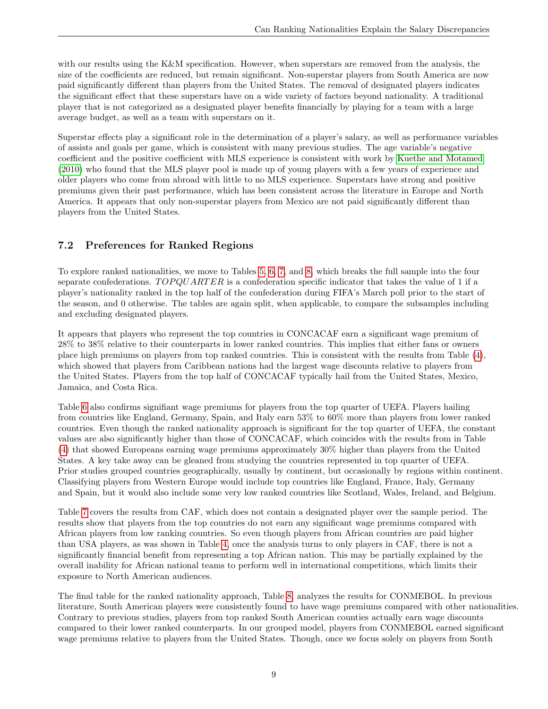with our results using the K&M specification. However, when superstars are removed from the analysis, the size of the coefficients are reduced, but remain significant. Non-superstar players from South America are now paid significantly different than players from the United States. The removal of designated players indicates the significant effect that these superstars have on a wide variety of factors beyond nationality. A traditional player that is not categorized as a designated player benefits financially by playing for a team with a large average budget, as well as a team with superstars on it.

Superstar effects play a significant role in the determination of a player's salary, as well as performance variables of assists and goals per game, which is consistent with many previous studies. The age variable's negative coefficient and the positive coefficient with MLS experience is consistent with work by [Kuethe and Motamed](#page-22-9) [\(2010\)](#page-22-9) who found that the MLS player pool is made up of young players with a few years of experience and older players who come from abroad with little to no MLS experience. Superstars have strong and positive premiums given their past performance, which has been consistent across the literature in Europe and North America. It appears that only non-superstar players from Mexico are not paid significantly different than players from the United States.

### 7.2 Preferences for Ranked Regions

To explore ranked nationalities, we move to Tables [5,](#page-15-0) [6,](#page-16-0) [7,](#page-17-0) and [8,](#page-18-0) which breaks the full sample into the four separate confederations. TOPQUARTER is a confederation specific indicator that takes the value of 1 if a player's nationality ranked in the top half of the confederation during FIFA's March poll prior to the start of the season, and 0 otherwise. The tables are again split, when applicable, to compare the subsamples including and excluding designated players.

It appears that players who represent the top countries in CONCACAF earn a significant wage premium of 28% to 38% relative to their counterparts in lower ranked countries. This implies that either fans or owners place high premiums on players from top ranked countries. This is consistent with the results from Table [\(4\)](#page-14-0), which showed that players from Caribbean nations had the largest wage discounts relative to players from the United States. Players from the top half of CONCACAF typically hail from the United States, Mexico, Jamaica, and Costa Rica.

Table [6](#page-16-0) also confirms signifiant wage premiums for players from the top quarter of UEFA. Players hailing from countries like England, Germany, Spain, and Italy earn 53% to 60% more than players from lower ranked countries. Even though the ranked nationality approach is significant for the top quarter of UEFA, the constant values are also significantly higher than those of CONCACAF, which coincides with the results from in Table [\(4\)](#page-14-0) that showed Europeans earning wage premiums approximately 30% higher than players from the United States. A key take away can be gleaned from studying the countries represented in top quarter of UEFA. Prior studies grouped countries geographically, usually by continent, but occasionally by regions within continent. Classifying players from Western Europe would include top countries like England, France, Italy, Germany and Spain, but it would also include some very low ranked countries like Scotland, Wales, Ireland, and Belgium.

Table [7](#page-17-0) covers the results from CAF, which does not contain a designated player over the sample period. The results show that players from the top countries do not earn any significant wage premiums compared with African players from low ranking countries. So even though players from African countries are paid higher than USA players, as was shown in Table [4,](#page-14-0) once the analysis turns to only players in CAF, there is not a significantly financial benefit from representing a top African nation. This may be partially explained by the overall inability for African national teams to perform well in international competitions, which limits their exposure to North American audiences.

The final table for the ranked nationality approach, Table [8,](#page-18-0) analyzes the results for CONMEBOL. In previous literature, South American players were consistently found to have wage premiums compared with other nationalities. Contrary to previous studies, players from top ranked South American counties actually earn wage discounts compared to their lower ranked counterparts. In our grouped model, players from CONMEBOL earned significant wage premiums relative to players from the United States. Though, once we focus solely on players from South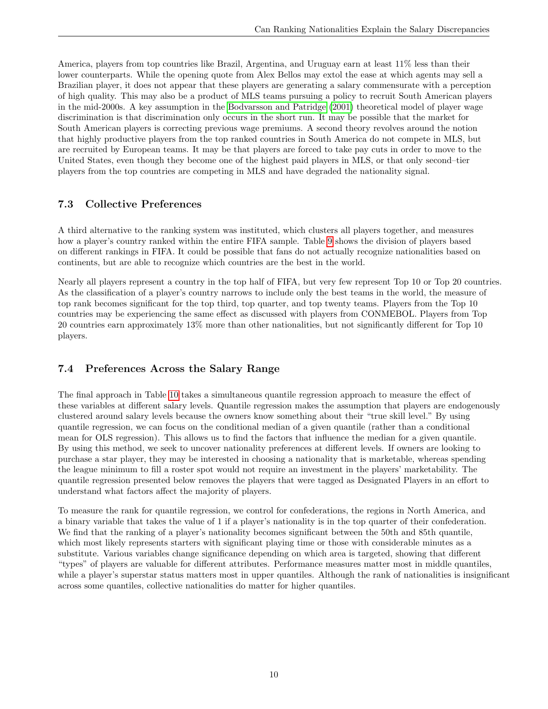America, players from top countries like Brazil, Argentina, and Uruguay earn at least 11% less than their lower counterparts. While the opening quote from Alex Bellos may extol the ease at which agents may sell a Brazilian player, it does not appear that these players are generating a salary commensurate with a perception of high quality. This may also be a product of MLS teams pursuing a policy to recruit South American players in the mid-2000s. A key assumption in the [Bodvarsson and Patridge](#page-22-12) [\(2001\)](#page-22-12) theoretical model of player wage discrimination is that discrimination only occurs in the short run. It may be possible that the market for South American players is correcting previous wage premiums. A second theory revolves around the notion that highly productive players from the top ranked countries in South America do not compete in MLS, but are recruited by European teams. It may be that players are forced to take pay cuts in order to move to the United States, even though they become one of the highest paid players in MLS, or that only second–tier players from the top countries are competing in MLS and have degraded the nationality signal.

#### 7.3 Collective Preferences

A third alternative to the ranking system was instituted, which clusters all players together, and measures how a player's country ranked within the entire FIFA sample. Table [9](#page-19-0) shows the division of players based on different rankings in FIFA. It could be possible that fans do not actually recognize nationalities based on continents, but are able to recognize which countries are the best in the world.

Nearly all players represent a country in the top half of FIFA, but very few represent Top 10 or Top 20 countries. As the classification of a player's country narrows to include only the best teams in the world, the measure of top rank becomes significant for the top third, top quarter, and top twenty teams. Players from the Top 10 countries may be experiencing the same effect as discussed with players from CONMEBOL. Players from Top 20 countries earn approximately 13% more than other nationalities, but not significantly different for Top 10 players.

#### 7.4 Preferences Across the Salary Range

The final approach in Table [10](#page-20-0) takes a simultaneous quantile regression approach to measure the effect of these variables at different salary levels. Quantile regression makes the assumption that players are endogenously clustered around salary levels because the owners know something about their "true skill level." By using quantile regression, we can focus on the conditional median of a given quantile (rather than a conditional mean for OLS regression). This allows us to find the factors that influence the median for a given quantile. By using this method, we seek to uncover nationality preferences at different levels. If owners are looking to purchase a star player, they may be interested in choosing a nationality that is marketable, whereas spending the league minimum to fill a roster spot would not require an investment in the players' marketability. The quantile regression presented below removes the players that were tagged as Designated Players in an effort to understand what factors affect the majority of players.

To measure the rank for quantile regression, we control for confederations, the regions in North America, and a binary variable that takes the value of 1 if a player's nationality is in the top quarter of their confederation. We find that the ranking of a player's nationality becomes significant between the 50th and 85th quantile, which most likely represents starters with significant playing time or those with considerable minutes as a substitute. Various variables change significance depending on which area is targeted, showing that different "types" of players are valuable for different attributes. Performance measures matter most in middle quantiles, while a player's superstar status matters most in upper quantiles. Although the rank of nationalities is insignificant across some quantiles, collective nationalities do matter for higher quantiles.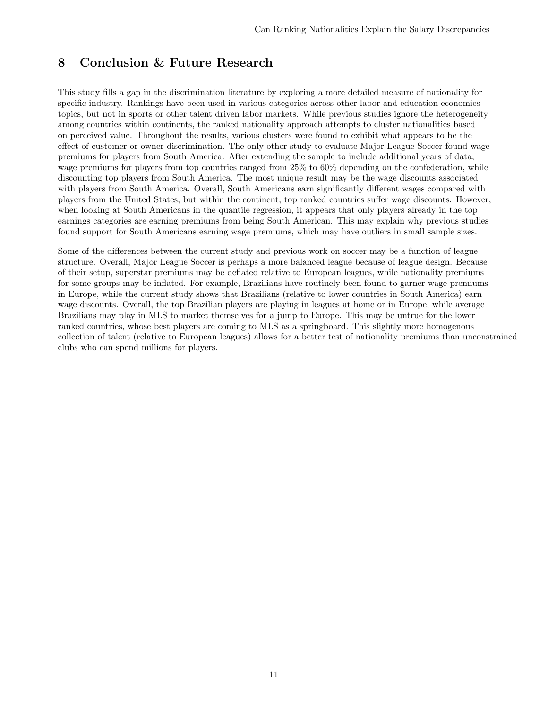## 8 Conclusion & Future Research

This study fills a gap in the discrimination literature by exploring a more detailed measure of nationality for specific industry. Rankings have been used in various categories across other labor and education economics topics, but not in sports or other talent driven labor markets. While previous studies ignore the heterogeneity among countries within continents, the ranked nationality approach attempts to cluster nationalities based on perceived value. Throughout the results, various clusters were found to exhibit what appears to be the effect of customer or owner discrimination. The only other study to evaluate Major League Soccer found wage premiums for players from South America. After extending the sample to include additional years of data, wage premiums for players from top countries ranged from 25% to 60% depending on the confederation, while discounting top players from South America. The most unique result may be the wage discounts associated with players from South America. Overall, South Americans earn significantly different wages compared with players from the United States, but within the continent, top ranked countries suffer wage discounts. However, when looking at South Americans in the quantile regression, it appears that only players already in the top earnings categories are earning premiums from being South American. This may explain why previous studies found support for South Americans earning wage premiums, which may have outliers in small sample sizes.

Some of the differences between the current study and previous work on soccer may be a function of league structure. Overall, Major League Soccer is perhaps a more balanced league because of league design. Because of their setup, superstar premiums may be deflated relative to European leagues, while nationality premiums for some groups may be inflated. For example, Brazilians have routinely been found to garner wage premiums in Europe, while the current study shows that Brazilians (relative to lower countries in South America) earn wage discounts. Overall, the top Brazilian players are playing in leagues at home or in Europe, while average Brazilians may play in MLS to market themselves for a jump to Europe. This may be untrue for the lower ranked countries, whose best players are coming to MLS as a springboard. This slightly more homogenous collection of talent (relative to European leagues) allows for a better test of nationality premiums than unconstrained clubs who can spend millions for players.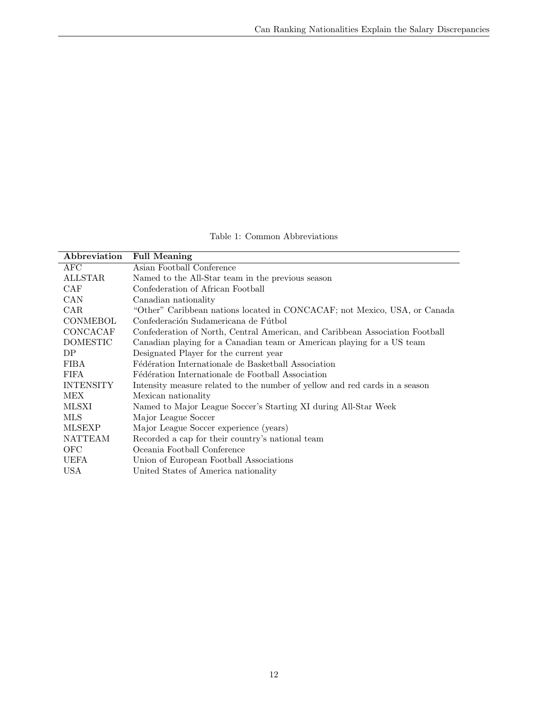Table 1: Common Abbreviations

| Abbreviation     | <b>Full Meaning</b>                                                          |
|------------------|------------------------------------------------------------------------------|
| AFC              | Asian Football Conference                                                    |
| <b>ALLSTAR</b>   | Named to the All-Star team in the previous season                            |
| CAF              | Confederation of African Football                                            |
| CAN              | Canadian nationality                                                         |
| CAR.             | "Other" Caribbean nations located in CONCACAF; not Mexico, USA, or Canada    |
| <b>CONMEBOL</b>  | Confederación Sudamericana de Fútbol                                         |
| CONCACAF         | Confederation of North, Central American, and Caribbean Association Football |
| <b>DOMESTIC</b>  | Canadian playing for a Canadian team or American playing for a US team       |
| DP.              | Designated Player for the current year                                       |
| <b>FIBA</b>      | Fédération Internationale de Basketball Association                          |
| FIFA             | Fédération Internationale de Football Association                            |
| <b>INTENSITY</b> | Intensity measure related to the number of yellow and red cards in a season  |
| <b>MEX</b>       | Mexican nationality                                                          |
| MLSXI            | Named to Major League Soccer's Starting XI during All-Star Week              |
| <b>MLS</b>       | Major League Soccer                                                          |
| <b>MLSEXP</b>    | Major League Soccer experience (years)                                       |
| <b>NATTEAM</b>   | Recorded a cap for their country's national team                             |
| <b>OFC</b>       | Oceania Football Conference                                                  |
| <b>UEFA</b>      | Union of European Football Associations                                      |
| USA              | United States of America nationality                                         |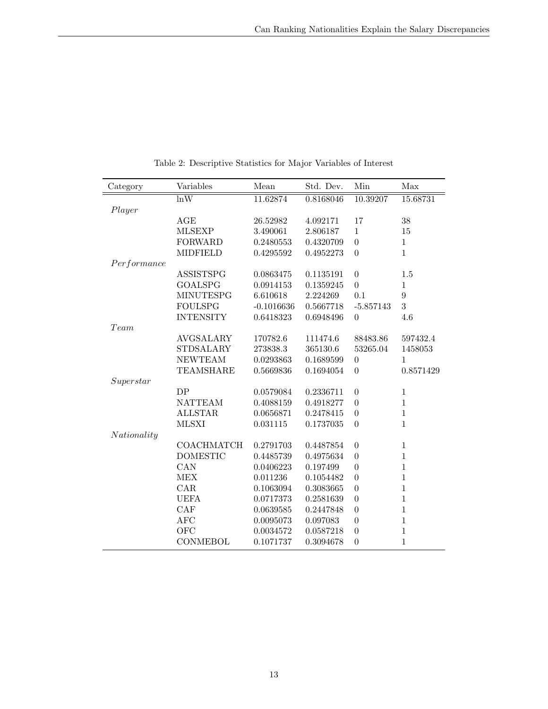<span id="page-12-0"></span>

| Category    | Variables        | Mean         | Std. Dev. | Min              | Max            |
|-------------|------------------|--------------|-----------|------------------|----------------|
|             | lnW              | 11.62874     | 0.8168046 | 10.39207         | 15.68731       |
| Player      |                  |              |           |                  |                |
|             | AGE              | 26.52982     | 4.092171  | 17               | 38             |
|             | <b>MLSEXP</b>    | 3.490061     | 2.806187  | $\mathbf{1}$     | 15             |
|             | <b>FORWARD</b>   | 0.2480553    | 0.4320709 | $\theta$         | $\mathbf{1}$   |
|             | <b>MIDFIELD</b>  | 0.4295592    | 0.4952273 | $\theta$         | $\mathbf{1}$   |
| Performance |                  |              |           |                  |                |
|             | <b>ASSISTSPG</b> | 0.0863475    | 0.1135191 | $\theta$         | 1.5            |
|             | <b>GOALSPG</b>   | 0.0914153    | 0.1359245 | $\overline{0}$   | $\mathbf{1}$   |
|             | MINUTESPG        | 6.610618     | 2.224269  | 0.1              | $\overline{9}$ |
|             | <b>FOULSPG</b>   | $-0.1016636$ | 0.5667718 | $-5.857143$      | 3              |
|             | <b>INTENSITY</b> | 0.6418323    | 0.6948496 | $\theta$         | 4.6            |
| Team        |                  |              |           |                  |                |
|             | <b>AVGSALARY</b> | 170782.6     | 111474.6  | 88483.86         | 597432.4       |
|             | <b>STDSALARY</b> | 273838.3     | 365130.6  | 53265.04         | 1458053        |
|             | <b>NEWTEAM</b>   | 0.0293863    | 0.1689599 | $\boldsymbol{0}$ | $\mathbf{1}$   |
|             | <b>TEAMSHARE</b> | 0.5669836    | 0.1694054 | $\theta$         | 0.8571429      |
| Superstar   |                  |              |           |                  |                |
|             | DP               | 0.0579084    | 0.2336711 | $\theta$         | $\mathbf{1}$   |
|             | <b>NATTEAM</b>   | 0.4088159    | 0.4918277 | $\theta$         | $\mathbf{1}$   |
|             | <b>ALLSTAR</b>   | 0.0656871    | 0.2478415 | $\theta$         | $\,1\,$        |
|             | <b>MLSXI</b>     | 0.031115     | 0.1737035 | $\theta$         | $\mathbf{1}$   |
| Nationality |                  |              |           |                  |                |
|             | COACHMATCH       | 0.2791703    | 0.4487854 | $\theta$         | $\mathbf{1}$   |
|             | <b>DOMESTIC</b>  | 0.4485739    | 0.4975634 | $\overline{0}$   | $\,1\,$        |
|             | CAN              | 0.0406223    | 0.197499  | $\overline{0}$   | $\mathbf{1}$   |
|             | MEX              | 0.011236     | 0.1054482 | $\theta$         | $\,1\,$        |
|             | CAR              | 0.1063094    | 0.3083665 | $\boldsymbol{0}$ | $\mathbf{1}$   |
|             | <b>UEFA</b>      | 0.0717373    | 0.2581639 | $\boldsymbol{0}$ | $\,1\,$        |
|             | CAF              | 0.0639585    | 0.2447848 | $\overline{0}$   | $\mathbf{1}$   |
|             | AFC              | 0.0095073    | 0.097083  | $\theta$         | $\mathbf{1}$   |
|             | OFC              | 0.0034572    | 0.0587218 | $\theta$         | $\,1$          |
|             | <b>CONMEBOL</b>  | 0.1071737    | 0.3094678 | $\overline{0}$   | $\mathbf{1}$   |

Table 2: Descriptive Statistics for Major Variables of Interest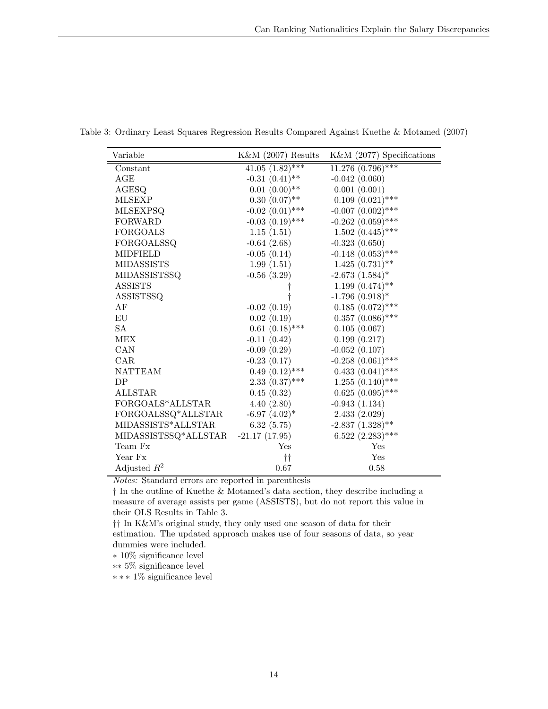| Variable                            | $K\&M$ (2007) Results        | $K\&M$ (2077) Specifications    |
|-------------------------------------|------------------------------|---------------------------------|
| Constant                            | $41.05 \overline{(1.82)***}$ | $11.276(0.796)$ ***             |
| AGE                                 | $-0.31(0.41)$ **             | $-0.042(0.060)$                 |
| AGESQ                               | $0.01~(0.00)$ **             | 0.001(0.001)                    |
| <b>MLSEXP</b>                       | $0.30~(0.07)$ **             | $0.109~(0.021)$ ***             |
| <b>MLSEXPSQ</b>                     | $-0.02$ $(0.01)$ ***         | $-0.007$ $(0.002)$ ***          |
| <b>FORWARD</b>                      | $-0.03$ $(0.19)$ ***         | $-0.262$ $(0.059)$ ***          |
| <b>FORGOALS</b>                     | 1.15(1.51)                   | $1.502(0.445)$ ***              |
| FORGOALSSQ                          | $-0.64(2.68)$                | $-0.323(0.650)$                 |
| <b>MIDFIELD</b>                     | $-0.05(0.14)$                | $-0.148$ $(0.053)$ ***          |
| MIDASSISTS                          | 1.99(1.51)                   | $1.425(0.731)$ **               |
| MIDASSISTSSQ                        | $-0.56$ $(3.29)$             | $-2.673$ $(1.584)$ *            |
| ASSISTS                             |                              | $1.199(0.474)$ **               |
| ASSISTSSQ                           |                              | $-1.796$ $(0.918)$ <sup>*</sup> |
| AF                                  | $-0.02(0.19)$                | $0.185~(0.072)$ ***             |
| ${\rm EU}$                          | 0.02(0.19)                   | $0.357(0.086)$ ***              |
| SA                                  | $0.61~(0.18)$ ***            | 0.105(0.067)                    |
| MEX                                 | $-0.11(0.42)$                | 0.199(0.217)                    |
| CAN                                 | $-0.09(0.29)$                | $-0.052(0.107)$                 |
| CAR                                 | $-0.23(0.17)$                | $-0.258$ $(0.061)$ ***          |
| <b>NATTEAM</b>                      | $0.49~(0.12)$ ***            | $0.433(0.041)$ ***              |
| DP                                  | $2.33~(0.37)$ ***            | $1.255(0.140)$ ***              |
| <b>ALLSTAR</b>                      | 0.45(0.32)                   | $0.625~(0.095)$ ***             |
| FORGOALS*ALLSTAR                    | 4.40(2.80)                   | $-0.943(1.134)$                 |
| FORGOALSSQ*ALLSTAR                  | $-6.97$ $(4.02)^*$           | 2.433(2.029)                    |
| MIDASSISTS*ALLSTAR                  | 6.32(5.75)                   | $-2.837(1.328)$ **              |
| MIDASSISTSSQ*ALLSTAR -21.17 (17.95) |                              | $6.522$ $(2.283)$ ***           |
| Team Fx                             | Yes                          | Yes                             |
| Year Fx                             | $\dagger$                    | Yes                             |
| Adjusted $R^2$                      | 0.67                         | 0.58                            |

<span id="page-13-0"></span>Table 3: Ordinary Least Squares Regression Results Compared Against Kuethe & Motamed (2007)

† In the outline of Kuethe & Motamed's data section, they describe including a measure of average assists per game (ASSISTS), but do not report this value in their OLS Results in Table 3.

†† In K&M's original study, they only used one season of data for their estimation. The updated approach makes use of four seasons of data, so year dummies were included.

∗ 10% significance level

∗∗ 5% significance level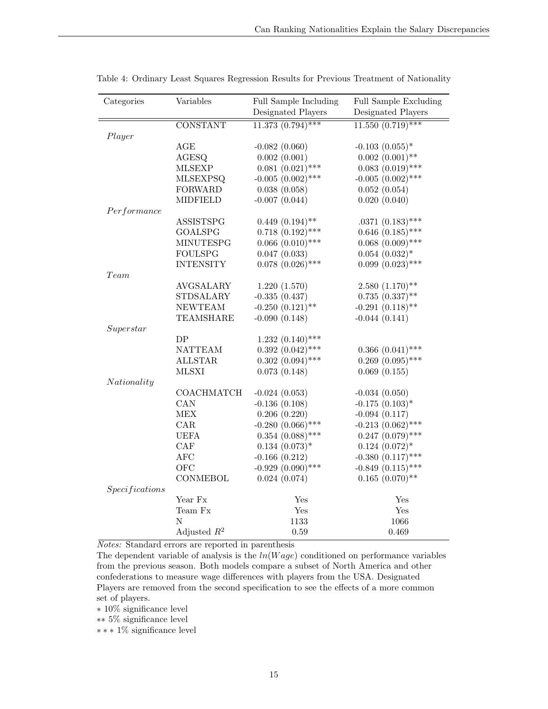| Categories     | Variables        | Full Sample Including  | Full Sample Excluding  |
|----------------|------------------|------------------------|------------------------|
|                |                  | Designated Players     | Designated Players     |
|                |                  |                        | $11.550(0.719)$ ***    |
|                | <b>CONSTANT</b>  | $11.373 (0.794)$ ***   |                        |
| Player         |                  |                        |                        |
|                | AGE              | $-0.082(0.060)$        | $-0.103$ $(0.055)$ *   |
|                | AGESQ            | 0.002(0.001)           | $0.002~(0.001)$ **     |
|                | <b>MLSEXP</b>    | $0.081~(0.021)$ ***    | $0.083$ $(0.019)$ ***  |
|                | <b>MLSEXPSQ</b>  | $-0.005$ $(0.002)$ *** | $-0.005$ $(0.002)$ *** |
|                | <b>FORWARD</b>   | 0.038(0.058)           | 0.052(0.054)           |
|                | <b>MIDFIELD</b>  | $-0.007(0.044)$        | 0.020(0.040)           |
| Performance    |                  |                        |                        |
|                | ASSISTSPG        | $0.449~(0.194)$ **     | $.0371~(0.183)$ ***    |
|                | <b>GOALSPG</b>   | $0.718~(0.192)$ ***    | $0.646~(0.185)$ ***    |
|                | MINUTESPG        | $0.066~(0.010)$ ***    | $0.068~(0.009)$ ***    |
|                | <b>FOULSPG</b>   | 0.047(0.033)           | $0.054~(0.032)*$       |
|                | <b>INTENSITY</b> | $0.078~(0.026)$ ***    | $0.099~(0.023)$ ***    |
| $Team$         |                  |                        |                        |
|                | <b>AVGSALARY</b> | 1.220(1.570)           | $2.580(1.170)$ **      |
|                | <b>STDSALARY</b> | $-0.335(0.437)$        | $0.735(0.337)$ **      |
|                | <b>NEWTEAM</b>   | $-0.250(0.121)$ **     | $-0.291(0.118)$ **     |
|                | <b>TEAMSHARE</b> | $-0.090(0.148)$        | $-0.044(0.141)$        |
| Superstar      |                  |                        |                        |
|                | DP               | $1.232(0.140)$ ***     |                        |
|                | <b>NATTEAM</b>   | $0.392~(0.042)$ ***    | $0.366~(0.041)$ ***    |
|                | <b>ALLSTAR</b>   | $0.302~(0.094)$ ***    | $0.269$ $(0.095)$ ***  |
|                | <b>MLSXI</b>     | 0.073(0.148)           | 0.069(0.155)           |
| Nationality    |                  |                        |                        |
|                | COACHMATCH       | $-0.024(0.053)$        | $-0.034(0.050)$        |
|                | CAN              | $-0.136(0.108)$        | $-0.175$ $(0.103)$ *   |
|                | <b>MEX</b>       | 0.206(0.220)           | $-0.094(0.117)$        |
|                | CAR              | $-0.280(0.066)$ ***    | $-0.213$ $(0.062)$ *** |
|                | <b>UEFA</b>      | $0.354~(0.088)$ ***    | $0.247~(0.079)$ ***    |
|                | CAF              | $0.134~(0.073)*$       | $0.124~(0.072)*$       |
|                | $\rm{AFC}$       | $-0.166$ $(0.212)$     | $-0.380(0.117)$ ***    |
|                | <b>OFC</b>       | $-0.929(0.090)$ ***    | $-0.849$ $(0.115)$ *** |
|                | <b>CONMEBOL</b>  | 0.024(0.074)           | $0.165(0.070)$ **      |
| Specifications |                  |                        |                        |
|                | Year Fx          | Yes                    | Yes                    |
|                | Team Fx          | Yes                    | Yes                    |
|                | N                | 1133                   | 1066                   |
|                | Adjusted $R^2$   | 0.59                   | 0.469                  |

<span id="page-14-0"></span>Table 4: Ordinary Least Squares Regression Results for Previous Treatment of Nationality

The dependent variable of analysis is the  $ln(Wage)$  conditioned on performance variables from the previous season. Both models compare a subset of North America and other confederations to measure wage differences with players from the USA. Designated Players are removed from the second specification to see the effects of a more common set of players.

∗ 10% significance level

∗∗ 5% significance level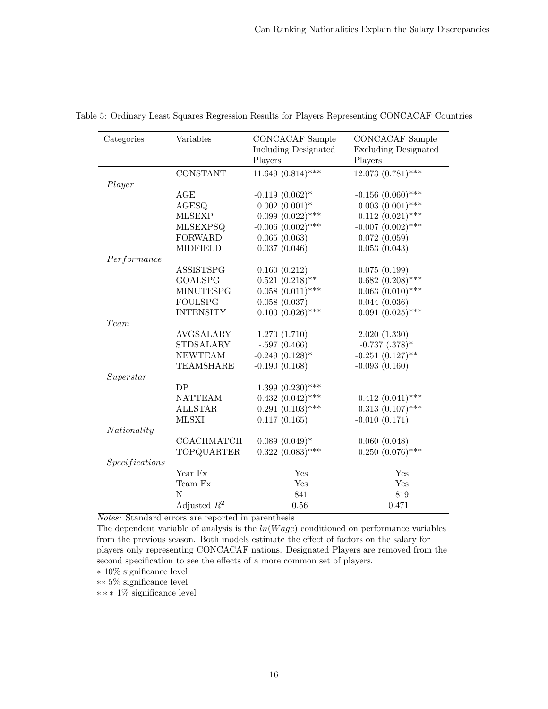| Categories     | Variables        | CONCACAF Sample<br>Including Designated<br>Players | <b>CONCACAF</b> Sample<br><b>Excluding Designated</b><br>Players |
|----------------|------------------|----------------------------------------------------|------------------------------------------------------------------|
|                | <b>CONSTANT</b>  | $11.649(0.814)$ ***                                | $12.073$ $(0.781)$ ***                                           |
| Player         |                  |                                                    |                                                                  |
|                | AGE              | $-0.119(0.062)$ *                                  | $-0.156$ $(0.060)$ ***                                           |
|                | AGESQ            | $0.002~(0.001)*$                                   | $0.003~(0.001)$ ***                                              |
|                | <b>MLSEXP</b>    | $0.099~(0.022)$ ***                                | $0.112~(0.021)$ ***                                              |
|                | <b>MLSEXPSQ</b>  | $-0.006$ $(0.002)$ ***                             | $-0.007$ $(0.002)$ ***                                           |
|                | <b>FORWARD</b>   | 0.065(0.063)                                       | 0.072(0.059)                                                     |
|                | <b>MIDFIELD</b>  | 0.037(0.046)                                       | 0.053(0.043)                                                     |
| Performance    |                  |                                                    |                                                                  |
|                | <b>ASSISTSPG</b> | 0.160(0.212)                                       | 0.075(0.199)                                                     |
|                | <b>GOALSPG</b>   | $0.521~(0.218)$ **                                 | $0.682~(0.208)$ ***                                              |
|                | MINUTESPG        | $0.058~(0.011)$ ***                                | $0.063$ $(0.010)$ ***                                            |
|                | <b>FOULSPG</b>   | 0.058(0.037)                                       | 0.044(0.036)                                                     |
|                | <b>INTENSITY</b> | $0.100~(0.026)$ ***                                | $0.091~(0.025)$ ***                                              |
| Team           |                  |                                                    |                                                                  |
|                | AVGSALARY        | 1.270(1.710)                                       | 2.020(1.330)                                                     |
|                | <b>STDSALARY</b> | $-.597(0.466)$                                     | $-0.737$ $(.378)*$                                               |
|                | <b>NEWTEAM</b>   | $-0.249(0.128)$ *                                  | $-0.251$ $(0.127)$ **                                            |
|                | <b>TEAMSHARE</b> | $-0.190(0.168)$                                    | $-0.093(0.160)$                                                  |
| Superstar      |                  |                                                    |                                                                  |
|                | DP               | $1.399(0.230)$ ***                                 |                                                                  |
|                | <b>NATTEAM</b>   | $0.432~(0.042)$ ***                                | $0.412~(0.041)$ ***                                              |
|                | <b>ALLSTAR</b>   | $0.291~(0.103)$ ***                                | $0.313(0.107)$ ***                                               |
|                | <b>MLSXI</b>     | 0.117(0.165)                                       | $-0.010(0.171)$                                                  |
| Nationality    |                  |                                                    |                                                                  |
|                | COACHMATCH       | $0.089~(0.049)*$                                   | 0.060(0.048)                                                     |
|                | TOPQUARTER       | $0.322~(0.083)$ ***                                | $0.250(0.076)$ ***                                               |
| Specifications |                  |                                                    |                                                                  |
|                | Year Fx          | Yes                                                | Yes                                                              |
|                | Team Fx          | Yes                                                | Yes                                                              |
|                | N                | 841                                                | 819                                                              |
|                | Adjusted $R^2$   | 0.56                                               | 0.471                                                            |

<span id="page-15-0"></span>

|  | Table 5: Ordinary Least Squares Regression Results for Players Representing CONCACAF Countries |  |  |  |
|--|------------------------------------------------------------------------------------------------|--|--|--|
|  |                                                                                                |  |  |  |

The dependent variable of analysis is the  $ln(Wage)$  conditioned on performance variables from the previous season. Both models estimate the effect of factors on the salary for players only representing CONCACAF nations. Designated Players are removed from the second specification to see the effects of a more common set of players.

∗ 10% significance level

∗∗ 5% significance level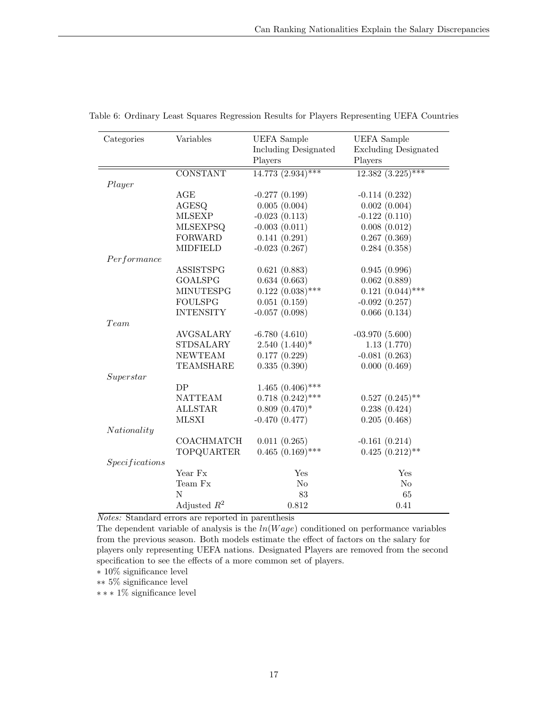| Categories     | Variables        | <b>UEFA</b> Sample     | <b>UEFA</b> Sample          |
|----------------|------------------|------------------------|-----------------------------|
|                |                  | Including Designated   | <b>Excluding Designated</b> |
|                |                  | Players                | Players                     |
|                | <b>CONSTANT</b>  | $14.773$ $(2.934)$ *** | $12.382 (3.225)$ ***        |
| Player         |                  |                        |                             |
|                | AGE              | $-0.277(0.199)$        | $-0.114(0.232)$             |
|                | AGESQ            | 0.005(0.004)           | 0.002(0.004)                |
|                | <b>MLSEXP</b>    | $-0.023(0.113)$        | $-0.122(0.110)$             |
|                | <b>MLSEXPSQ</b>  | $-0.003(0.011)$        | 0.008(0.012)                |
|                | <b>FORWARD</b>   | 0.141(0.291)           | 0.267(0.369)                |
|                | <b>MIDFIELD</b>  | $-0.023(0.267)$        | 0.284(0.358)                |
| Performance    |                  |                        |                             |
|                | <b>ASSISTSPG</b> | 0.621(0.883)           | 0.945(0.996)                |
|                | <b>GOALSPG</b>   | 0.634(0.663)           | 0.062(0.889)                |
|                | <b>MINUTESPG</b> | $0.122(0.038)$ ***     | $0.121~(0.044)$ ***         |
|                | <b>FOULSPG</b>   | 0.051(0.159)           | $-0.092(0.257)$             |
|                | <b>INTENSITY</b> | $-0.057(0.098)$        | 0.066(0.134)                |
| Team           |                  |                        |                             |
|                | AVGSALARY        | $-6.780(4.610)$        | $-03.970(5.600)$            |
|                | <b>STDSALARY</b> |                        |                             |
|                |                  | $2.540~(1.440)*$       | 1.13(1.770)                 |
|                | <b>NEWTEAM</b>   | 0.177(0.229)           | $-0.081(0.263)$             |
|                | <b>TEAMSHARE</b> | 0.335(0.390)           | 0.000(0.469)                |
| Superstar      |                  |                        |                             |
|                | DP               | $1.465(0.406)$ ***     |                             |
|                | <b>NATTEAM</b>   | $0.718~(0.242)$ ***    | $0.527~(0.245)$ **          |
|                | <b>ALLSTAR</b>   | $0.809~(0.470)*$       | 0.238(0.424)                |
|                | <b>MLSXI</b>     | $-0.470(0.477)$        | 0.205(0.468)                |
| Nationality    |                  |                        |                             |
|                | COACHMATCH       | 0.011(0.265)           | $-0.161(0.214)$             |
|                | TOPQUARTER       | $0.465$ $(0.169)$ ***  | $0.425(0.212)$ **           |
| Specifications |                  |                        |                             |
|                | Year Fx          | Yes                    | Yes                         |
|                | Team Fx          | No                     | N <sub>o</sub>              |
|                | $\overline{N}$   | 83                     | 65                          |
|                | Adjusted $R^2$   | 0.812                  | 0.41                        |

<span id="page-16-0"></span>Table 6: Ordinary Least Squares Regression Results for Players Representing UEFA Countries

The dependent variable of analysis is the  $ln(Wage)$  conditioned on performance variables from the previous season. Both models estimate the effect of factors on the salary for players only representing UEFA nations. Designated Players are removed from the second specification to see the effects of a more common set of players.

∗ 10% significance level

∗∗ 5% significance level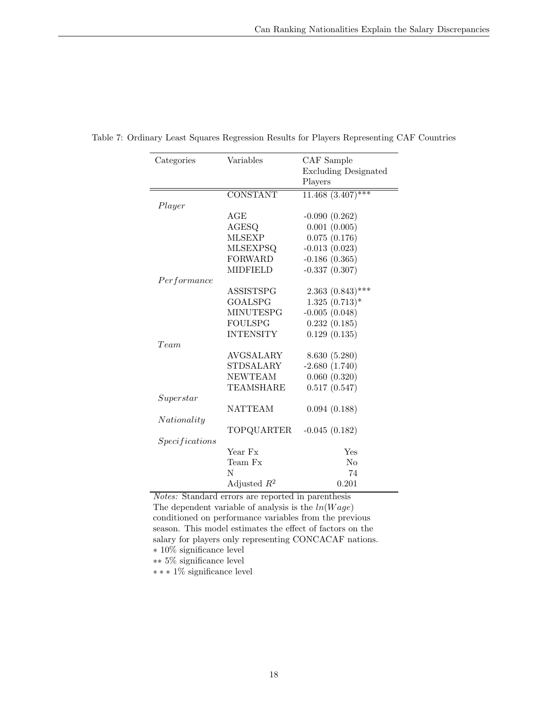| Categories     | Variables        | CAF Sample                  |
|----------------|------------------|-----------------------------|
|                |                  | <b>Excluding Designated</b> |
|                |                  | Players                     |
|                | <b>CONSTANT</b>  | $11.468~(3.407)$ ***        |
| Player         |                  |                             |
|                | $\rm{AGE}$       | $-0.090(0.262)$             |
|                | <b>AGESQ</b>     | 0.001(0.005)                |
|                | <b>MLSEXP</b>    | 0.075(0.176)                |
|                | MLSEXPSQ         | $-0.013(0.023)$             |
|                | <b>FORWARD</b>   | $-0.186(0.365)$             |
|                | <b>MIDFIELD</b>  | $-0.337(0.307)$             |
| Performance    |                  |                             |
|                | ASSISTSPG        | $2.363(0.843)$ ***          |
|                | GOALSPG          | $1.325(0.713)*$             |
|                | MINUTESPG        | $-0.005(0.048)$             |
|                | <b>FOULSPG</b>   | 0.232(0.185)                |
|                | <b>INTENSITY</b> | 0.129(0.135)                |
| Team           |                  |                             |
|                | AVGSALARY        | 8.630 (5.280)               |
|                | STDSALARY        | $-2.680(1.740)$             |
|                | <b>NEWTEAM</b>   | 0.060(0.320)                |
|                | TEAMSHARE        | 0.517(0.547)                |
| Superstar      |                  |                             |
|                | <b>NATTEAM</b>   | 0.094(0.188)                |
| Nationality    |                  |                             |
|                | TOPQUARTER       | $-0.045(0.182)$             |
| Specifications |                  |                             |
|                | Year Fx          | Yes                         |
|                | Team Fx          | No                          |
|                | N                | 74                          |
|                | Adjusted $R^2$   | 0.201                       |

<span id="page-17-0"></span>Table 7: Ordinary Least Squares Regression Results for Players Representing CAF Countries

The dependent variable of analysis is the  $ln(Wage)$ conditioned on performance variables from the previous season. This model estimates the effect of factors on the salary for players only representing CONCACAF nations. ∗ 10% significance level

∗∗ 5% significance level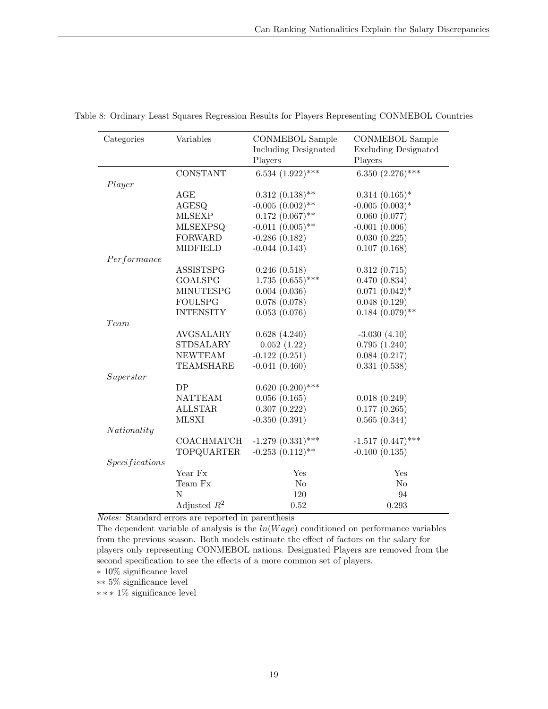| Categories     | Variables        | <b>CONMEBOL Sample</b><br>Including Designated<br>Players | <b>CONMEBOL Sample</b><br><b>Excluding Designated</b><br>Players |
|----------------|------------------|-----------------------------------------------------------|------------------------------------------------------------------|
|                | <b>CONSTANT</b>  | $6.534 (1.922)$ ***                                       | $6.350(2.276)$ ***                                               |
| Player         |                  |                                                           |                                                                  |
|                | AGE              | $0.312(0.138)$ **                                         | $0.314~(0.165)$ *                                                |
|                | AGESQ            | $-0.005$ $(0.002)$ **                                     | $-0.005$ $(0.003)$ *                                             |
|                | <b>MLSEXP</b>    | $0.172~(0.067)$ **                                        | 0.060(0.077)                                                     |
|                | <b>MLSEXPSQ</b>  | $-0.011~(0.005)$ **                                       | $-0.001(0.006)$                                                  |
|                | <b>FORWARD</b>   | $-0.286(0.182)$                                           | 0.030(0.225)                                                     |
|                | <b>MIDFIELD</b>  | $-0.044(0.143)$                                           | 0.107(0.168)                                                     |
| Performance    |                  |                                                           |                                                                  |
|                | <b>ASSISTSPG</b> | 0.246(0.518)                                              | 0.312(0.715)                                                     |
|                | GOALSPG          | $1.735(0.655)$ ***                                        | 0.470(0.834)                                                     |
|                | <b>MINUTESPG</b> | 0.004(0.036)                                              | $0.071~(0.042)^*$                                                |
|                | <b>FOULSPG</b>   | 0.078(0.078)                                              | 0.048(0.129)                                                     |
|                | <b>INTENSITY</b> | 0.053(0.076)                                              | $0.184~(0.079)$ **                                               |
| Team           |                  |                                                           |                                                                  |
|                | AVGSALARY        | 0.628(4.240)                                              | $-3.030(4.10)$                                                   |
|                | <b>STDSALARY</b> | 0.052(1.22)                                               | 0.795(1.240)                                                     |
|                | <b>NEWTEAM</b>   | $-0.122(0.251)$                                           | 0.084(0.217)                                                     |
|                | <b>TEAMSHARE</b> | $-0.041(0.460)$                                           | 0.331(0.538)                                                     |
| Superstar      |                  |                                                           |                                                                  |
|                | DP               | $0.620(0.200)$ ***                                        |                                                                  |
|                | <b>NATTEAM</b>   | 0.056(0.165)                                              | 0.018(0.249)                                                     |
|                | <b>ALLSTAR</b>   | 0.307(0.222)                                              | 0.177(0.265)                                                     |
|                | <b>MLSXI</b>     | $-0.350(0.391)$                                           | 0.565(0.344)                                                     |
| Nationality    |                  |                                                           |                                                                  |
|                | COACHMATCH       | $-1.279(0.331)$ ***                                       | $-1.517~(0.447)$ ***                                             |
|                | TOPQUARTER       | $-0.253$ $(0.112)$ **                                     | $-0.100(0.135)$                                                  |
| Specifications |                  |                                                           |                                                                  |
|                | Year Fx          | Yes                                                       | Yes                                                              |
|                | Team Fx          | N <sub>o</sub>                                            | N <sub>o</sub>                                                   |
|                | $\mathbf N$      | 120                                                       | 94                                                               |
|                | Adjusted $R^2$   | 0.52                                                      | 0.293                                                            |

<span id="page-18-0"></span>

|  |  | Table 8: Ordinary Least Squares Regression Results for Players Representing CONMEBOL Countries |  |  |  |  |  |  |
|--|--|------------------------------------------------------------------------------------------------|--|--|--|--|--|--|
|--|--|------------------------------------------------------------------------------------------------|--|--|--|--|--|--|

The dependent variable of analysis is the  $ln(Wage)$  conditioned on performance variables from the previous season. Both models estimate the effect of factors on the salary for players only representing CONMEBOL nations. Designated Players are removed from the second specification to see the effects of a more common set of players.

∗ 10% significance level

∗∗ 5% significance level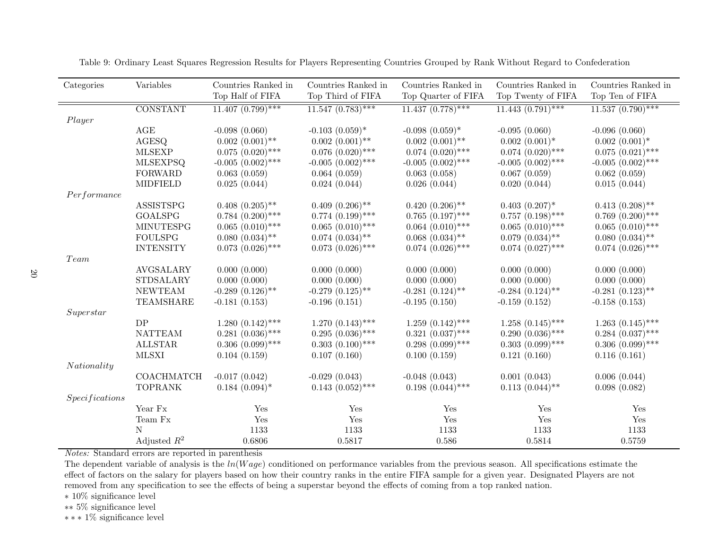| Categories     | Variables                       | Countries Ranked in    | Countries Ranked in             | Countries Ranked in    | Countries Ranked in    | Countries Ranked in    |
|----------------|---------------------------------|------------------------|---------------------------------|------------------------|------------------------|------------------------|
|                |                                 | Top Half of FIFA       | Top Third of FIFA               | Top Quarter of FIFA    | Top Twenty of FIFA     | Top Ten of FIFA        |
|                | <b>CONSTANT</b>                 | $11.407 (0.799)$ ***   | $11.547(0.783)$ ***             | $11.437(0.778)$ ***    | $11.443(0.791)$ ***    | $11.537(0.790)$ ***    |
| Player         |                                 |                        |                                 |                        |                        |                        |
|                | $\operatorname{AGE}$            | $-0.098(0.060)$        | $-0.103$ $(0.059)$ <sup>*</sup> | $-0.098(0.059)$ *      | $-0.095(0.060)$        | $-0.096(0.060)$        |
|                | AGESQ                           | $0.002~(0.001)$ **     | $0.002~(0.001)$ **              | $0.002~(0.001)$ **     | $0.002~(0.001)*$       | $0.002~(0.001)*$       |
|                | <b>MLSEXP</b>                   | $0.075~(0.020)$ ***    | $0.076$ $(0.020)$ ***           | $0.074~(0.020)$ ***    | $0.074~(0.020)$ ***    | $0.075$ $(0.021)$ ***  |
|                | <b>MLSEXPSQ</b>                 | $-0.005$ $(0.002)$ *** | $-0.005$ $(0.002)$ ***          | $-0.005$ $(0.002)$ *** | $-0.005$ $(0.002)$ *** | $-0.005$ $(0.002)$ *** |
|                | <b>FORWARD</b>                  | 0.063(0.059)           | 0.064(0.059)                    | 0.063(0.058)           | 0.067(0.059)           | 0.062(0.059)           |
|                | <b>MIDFIELD</b>                 | 0.025(0.044)           | 0.024(0.044)                    | 0.026(0.044)           | 0.020(0.044)           | 0.015(0.044)           |
| Performance    |                                 |                        |                                 |                        |                        |                        |
|                | ASSISTSPG                       | $0.408~(0.205)$ **     | $0.409~(0.206)$ **              | $0.420(0.206)$ **      | $0.403~(0.207)^*$      | $0.413(0.208)$ **      |
|                | <b>GOALSPG</b>                  | $0.784~(0.200)$ ***    | $0.774~(0.199)$ ***             | $0.765$ $(0.197)$ ***  | $0.757(0.198)$ ***     | $0.769$ $(0.200)$ ***  |
|                | <b>MINUTESPG</b>                | $0.065$ $(0.010)$ ***  | $0.065~(0.010)$ ***             | $0.064~(0.010)$ ***    | $0.065(0.010)$ ***     | $0.065$ $(0.010)$ ***  |
|                | <b>FOULSPG</b>                  | $0.080~(0.034)$ **     | $0.074~(0.034)$ **              | $0.068~(0.034)$ **     | $0.079~(0.034)$ **     | $0.080~(0.034)$ **     |
|                | <b>INTENSITY</b>                | $0.073$ $(0.026)$ ***  | $0.073$ $(0.026)$ ***           | $0.074~(0.026)$ ***    | $0.074~(0.027)$ ***    | $0.074~(0.026)$ ***    |
| $Team$         |                                 |                        |                                 |                        |                        |                        |
|                | <b>AVGSALARY</b>                | 0.000(0.000)           | 0.000(0.000)                    | 0.000(0.000)           | 0.000(0.000)           | 0.000(0.000)           |
|                | <b>STDSALARY</b>                | 0.000(0.000)           | 0.000(0.000)                    | 0.000(0.000)           | 0.000(0.000)           | 0.000(0.000)           |
|                | <b>NEWTEAM</b>                  | $-0.289$ $(0.126)$ **  | $-0.279(0.125)$ **              | $-0.281~(0.124)$ **    | $-0.284~(0.124)$ **    | $-0.281(0.123)$ **     |
|                | <b>TEAMSHARE</b>                | $-0.181(0.153)$        | $-0.196(0.151)$                 | $-0.195(0.150)$        | $-0.159(0.152)$        | $-0.158(0.153)$        |
| Superstar      |                                 |                        |                                 |                        |                        |                        |
|                | DP                              | $1.280(0.142)$ ***     | $1.270(0.143)$ ***              | $1.259(0.142)$ ***     | $1.258(0.145)$ ***     | $1.263$ $(0.145)$ ***  |
|                | <b>NATTEAM</b>                  | $0.281~(0.036)$ ***    | $0.295(0.036)$ ***              | $0.321~(0.037)$ ***    | $0.290(0.036)$ ***     | $0.284~(0.037)$ ***    |
|                | <b>ALLSTAR</b>                  | $0.306~(0.099)$ ***    | $0.303(0.100)$ ***              | $0.298(0.099)$ ***     | $0.303(0.099)$ ***     | $0.306(0.099)$ ***     |
|                | MLSXI                           | 0.104(0.159)           | 0.107(0.160)                    | 0.100(0.159)           | 0.121(0.160)           | 0.116(0.161)           |
| Nationality    |                                 |                        |                                 |                        |                        |                        |
|                | COACHMATCH                      | $-0.017(0.042)$        | $-0.029(0.043)$                 | $-0.048(0.043)$        | 0.001(0.043)           | 0.006(0.044)           |
|                | <b>TOPRANK</b>                  | $0.184~(0.094)$ *      | $0.143$ $(0.052)$ ***           | $0.198~(0.044)$ ***    | $0.113(0.044)$ **      | 0.098(0.082)           |
| Specifications |                                 |                        |                                 |                        |                        |                        |
|                | Year $\mathop{\rm Fx}\nolimits$ | Yes                    | Yes                             | Yes                    | Yes                    | Yes                    |
|                | Team Fx                         | Yes                    | Yes                             | Yes                    | Yes                    | Yes                    |
|                | $\mathbf N$                     | 1133                   | 1133                            | 1133                   | 1133                   | 1133                   |
|                | Adjusted $R^2$                  | 0.6806                 | 0.5817                          | $0.586\,$              | 0.5814                 | 0.5759                 |

Table 9: Ordinary Least Squares Regression Results for Players Representing Countries Grouped by Rank Without Regard to Confederation

The dependent variable of analysis is the  $ln(Wage)$  conditioned on performance variables from the previous season. All specifications estimate the effect of factors on the salary for <sup>p</sup>layers based on how their country ranks in the entire FIFA sample for <sup>a</sup> given year. Designated Players are notremoved from any specification to see the effects of being <sup>a</sup> superstar beyond the effects of coming from <sup>a</sup> top ranked nation.

∗ 10% significance level

<span id="page-19-0"></span>∗∗ 5% significance level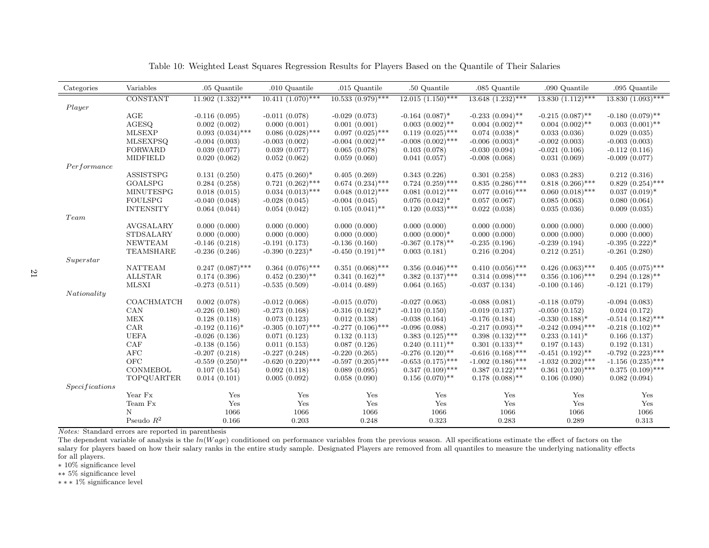| Categories                        | Variables                          | .05 Quantile                          | .010 Quantile                       | .015 Quantile                       | .50 Quantile                                  | .085 Quantile                             | .090 Quantile                                 | .095 Quantile                        |
|-----------------------------------|------------------------------------|---------------------------------------|-------------------------------------|-------------------------------------|-----------------------------------------------|-------------------------------------------|-----------------------------------------------|--------------------------------------|
|                                   | <b>CONSTANT</b>                    | $11.902 (1.332)$ ***                  | $10.411 (1.070)$ ***                | $10.533(0.979)$ ***                 | $12.015(1.150)$ ***                           | $13.648 (1.232)$ ***                      | $13.830(1.112)$ ***                           | $13.830(1.093)$ ***                  |
| $Player$                          |                                    |                                       |                                     |                                     |                                               |                                           |                                               |                                      |
|                                   | $\rm AGE$                          | $-0.116(0.095)$                       | $-0.011(0.078)$                     | $-0.029(0.073)$                     | $-0.164$ $(0.087)$ <sup>*</sup>               | $-0.233(0.094)$ **                        | $-0.215(0.087)$ **                            | $-0.180(0.079)$ **                   |
|                                   | AGESQ<br><b>MLSEXP</b>             | 0.002(0.002)<br>$0.093(0.034)$ ***    | 0.000(0.001)<br>$0.086~(0.028)$ *** | 0.001(0.001)<br>$0.097~(0.025)$ *** | $0.003$ $(0.002)$ **<br>$0.119(0.025)$ ***    | $0.004~(0.002)$ **<br>$0.074~(0.038)$ *   | $0.004~(0.002)$ **<br>0.033(0.036)            | $0.003$ $(0.001)$ **<br>0.029(0.035) |
|                                   | <b>MLSEXPSQ</b>                    | $-0.004(0.003)$                       | $-0.003(0.002)$                     | $-0.004$ $(0.002)$ **               | $-0.008$ $(0.002)$ ***                        | $-0.006$ $(0.003)$ <sup>*</sup>           | $-0.002(0.003)$                               | $-0.003(0.003)$                      |
|                                   | <b>FORWARD</b>                     | 0.039(0.077)                          | 0.039(0.077)                        | 0.065(0.078)                        | 0.103(0.078)                                  | $-0.030(0.094)$                           | $-0.021(0.106)$                               | $-0.112(0.116)$                      |
|                                   | <b>MIDFIELD</b>                    | 0.020(0.062)                          | 0.052(0.062)                        | 0.059(0.060)                        | 0.041(0.057)                                  | $-0.008(0.068)$                           | 0.031(0.069)                                  | $-0.009(0.077)$                      |
| Performance                       |                                    |                                       |                                     |                                     |                                               |                                           |                                               |                                      |
|                                   | ASSISTSPG                          | 0.131(0.250)                          | $0.475(0.260)$ *                    | 0.405(0.269)                        | 0.343(0.226)                                  | 0.301(0.258)                              | 0.083(0.283)                                  | 0.212(0.316)                         |
|                                   | GOALSPG                            | 0.284(0.258)                          | $0.721(0.262)$ ***                  | $0.674~(0.234)$ ***                 | $0.724~(0.259)$ ***                           | $0.835(0.286)$ ***                        | $0.818~(0.266)$ ***                           | $0.829(0.254)$ ***                   |
|                                   | MINUTESPG                          | 0.018(0.015)                          | $0.034~(0.013)$ ***                 | $0.048~(0.012)$ ***                 | $0.081~(0.012)$ ***                           | $0.077~(0.016)$ ***                       | $0.060~(0.018)$ ***                           | $0.037(0.019)$ *                     |
|                                   | <b>FOULSPG</b><br><b>INTENSITY</b> | $-0.040(0.048)$                       | $-0.028(0.045)$                     | $-0.004(0.045)$                     | $0.076~(0.042)^*$<br>$0.120(0.033)$ ***       | 0.057(0.067)                              | 0.085(0.063)                                  | 0.080(0.064)                         |
| $Team$                            |                                    | 0.064(0.044)                          | 0.054(0.042)                        | $0.105(0.041)$ **                   |                                               | 0.022(0.038)                              | 0.035(0.036)                                  | 0.009(0.035)                         |
|                                   | AVGSALARY                          | 0.000(0.000)                          | 0.000(0.000)                        | 0.000(0.000)                        | 0.000(0.000)                                  | 0.000(0.000)                              | 0.000(0.000)                                  | 0.000(0.000)                         |
|                                   | STDSALARY                          | 0.000(0.000)                          | 0.000(0.000)                        | 0.000(0.000)                        | $0.000(0.000)*$                               | 0.000(0.000)                              | 0.000(0.000)                                  | 0.000(0.000)                         |
|                                   | <b>NEWTEAM</b>                     | $-0.146(0.218)$                       | $-0.191(0.173)$                     | $-0.136(0.160)$                     | $-0.367$ $(0.178)$ **                         | $-0.235(0.196)$                           | $-0.239(0.194)$                               | $-0.395(0.222)$ *                    |
|                                   | <b>TEAMSHARE</b>                   | $-0.236(0.246)$                       | $-0.390(0.223)$ *                   | $-0.450(0.191)$ **                  | 0.003(0.181)                                  | 0.216(0.204)                              | 0.212(0.251)                                  | $-0.261(0.280)$                      |
| $\label{eq:superstart} Superstar$ |                                    |                                       |                                     |                                     |                                               |                                           |                                               |                                      |
|                                   | <b>NATTEAM</b>                     | $0.247~(0.087)$ ***                   | $0.364~(0.076)$ ***                 | $0.351(0.068)$ ***                  | $0.356(0.046)$ ***                            | $0.410(0.056)$ ***                        | $0.426(0.063)$ ***                            | $0.405(0.075)$ ***                   |
|                                   | <b>ALLSTAR</b>                     | 0.174(0.396)                          | $0.452(0.230)$ **                   | $0.341~(0.162)$ **                  | $0.382(0.137)$ ***                            | $0.314~(0.098)$ ***                       | $0.356(0.106)$ ***                            | $0.294(0.128)$ **                    |
| Nationality                       | MLSXI                              | $-0.273(0.511)$                       | $-0.535(0.509)$                     | $-0.014(0.489)$                     | 0.064(0.165)                                  | $-0.037(0.134)$                           | $-0.100(0.146)$                               | $-0.121(0.179)$                      |
|                                   | COACHMATCH                         | 0.002(0.078)                          | $-0.012(0.068)$                     | $-0.015(0.070)$                     | $-0.027(0.063)$                               | $-0.088(0.081)$                           | $-0.118(0.079)$                               | $-0.094(0.083)$                      |
|                                   | CAN                                | $-0.226(0.180)$                       | $-0.273(0.168)$                     | $-0.316(0.162)$ *                   | $-0.110(0.150)$                               | $-0.019(0.137)$                           | $-0.050(0.152)$                               | 0.024(0.172)                         |
|                                   | <b>MEX</b>                         | 0.128(0.118)                          | 0.073(0.123)                        | 0.012(0.138)                        | $-0.038(0.164)$                               | $-0.176(0.184)$                           | $-0.330(0.188)$ *                             | $-0.514$ $(0.182)$ ***               |
|                                   | CAR                                | $-0.192(0.116)^*$                     | $-0.305$ $(0.107)$ ***              | $-0.277$ $(0.106)$ ***              | $-0.096(0.088)$                               | $-0.217$ $(0.093)$ **                     | $-0.242~(0.094)$ ***                          | $-0.218(0.102)$ **                   |
|                                   | <b>UEFA</b>                        | $-0.026(0.136)$                       | 0.071(0.123)                        | 0.132(0.113)                        | $0.383(0.125)$ ***                            | $0.398(0.132)$ ***                        | $0.233(0.141)^*$                              | 0.166(0.137)                         |
|                                   | CAF                                | $-0.138(0.156)$                       | 0.011(0.153)                        | 0.087(0.126)                        | $0.240(0.111)$ **                             | $0.301(0.133)$ **                         | 0.197(0.143)                                  | 0.192(0.131)                         |
|                                   | $\rm{AFC}$                         | $-0.207(0.218)$                       | $-0.227(0.248)$                     | $-0.220(0.265)$                     | $-0.276$ $(0.120)$ **                         | $-0.616$ $(0.168)$ ***                    | $-0.451(0.192)$ **                            | $-0.792(0.223)$ ***                  |
|                                   | OFC<br>CONMEBOL                    | $-0.559$ $(0.250)$ **<br>0.107(0.154) | $-0.620(0.220)$ ***<br>0.092(0.118) | $-0.597(0.205)$ ***<br>0.089(0.095) | $-0.653$ $(0.175)$ ***<br>$0.347~(0.109)$ *** | $-1.002(0.186)$ ***<br>$0.387(0.122)$ *** | $-1.032$ $(0.202)$ ***<br>$0.361~(0.120)$ *** | $-1.156$ $(0.235)$ ***               |
|                                   | <b>TOPQUARTER</b>                  | 0.014(0.101)                          | 0.005(0.092)                        | 0.058(0.090)                        | $0.156(0.070)$ **                             | $0.178~(0.088)$ **                        | 0.106(0.090)                                  | $0.375(0.109)$ ***<br>0.082(0.094)   |
| <i>Specifications</i>             |                                    |                                       |                                     |                                     |                                               |                                           |                                               |                                      |
|                                   | Year Fx                            | Yes                                   | Yes                                 | Yes                                 | Yes                                           | Yes                                       | Yes                                           | Yes                                  |
|                                   | Team Fx                            | Yes                                   | Yes                                 | Yes                                 | Yes                                           | Yes                                       | Yes                                           | Yes                                  |
|                                   | N                                  | 1066                                  | 1066                                | 1066                                | 1066                                          | 1066                                      | 1066                                          | 1066                                 |
|                                   | Pseudo $R^2$                       | 0.166                                 | 0.203                               | 0.248                               | 0.323                                         | 0.283                                     | 0.289                                         | 0.313                                |

Table 10: Weighted Least Squares Regression Results for Players Based on the Quantile of Their Salaries

The dependent variable of analysis is the  $ln(Wage)$  conditioned on performance variables from the previous season. All specifications estimate the effect of factors on the salary for <sup>p</sup>layers based on how their salary ranks in the entire study sample. Designated Players are removed from all quantiles to measure the underlying nationality effectsfor all <sup>p</sup>layers.

∗ 10% significance level

<span id="page-20-0"></span>∗∗ 5% significance level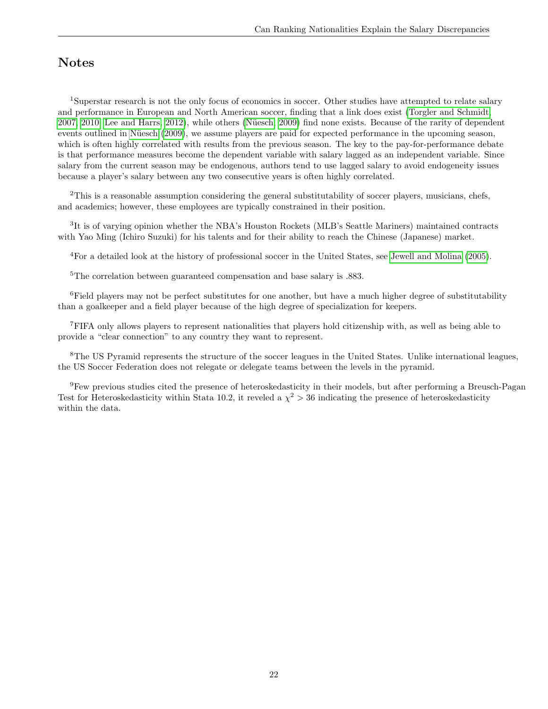#### Notes

<sup>1</sup>Superstar research is not the only focus of economics in soccer. Other studies have attempted to relate salary and performance in European and North American soccer, finding that a link does exist [\(Torgler and Schmidt,](#page-22-17) [2007,](#page-22-17) [2010;](#page-22-18) [Lee and Harrs, 2012\)](#page-22-19), while others (Nüesch, 2009) find none exists. Because of the rarity of dependent events outlined in Nüesch [\(2009\)](#page-22-20), we assume players are paid for expected performance in the upcoming season, which is often highly correlated with results from the previous season. The key to the pay-for-performance debate is that performance measures become the dependent variable with salary lagged as an independent variable. Since salary from the current season may be endogenous, authors tend to use lagged salary to avoid endogeneity issues because a player's salary between any two consecutive years is often highly correlated.

<sup>2</sup>This is a reasonable assumption considering the general substitutability of soccer players, musicians, chefs, and academics; however, these employees are typically constrained in their position.

<sup>3</sup>It is of varying opinion whether the NBA's Houston Rockets (MLB's Seattle Mariners) maintained contracts with Yao Ming (Ichiro Suzuki) for his talents and for their ability to reach the Chinese (Japanese) market.

<sup>4</sup>For a detailed look at the history of professional soccer in the United States, see [Jewell and Molina](#page-22-21) [\(2005\)](#page-22-21).

<sup>5</sup>The correlation between guaranteed compensation and base salary is .883.

<sup>6</sup>Field players may not be perfect substitutes for one another, but have a much higher degree of substitutability than a goalkeeper and a field player because of the high degree of specialization for keepers.

<sup>7</sup>FIFA only allows players to represent nationalities that players hold citizenship with, as well as being able to provide a "clear connection" to any country they want to represent.

<sup>8</sup>The US Pyramid represents the structure of the soccer leagues in the United States. Unlike international leagues, the US Soccer Federation does not relegate or delegate teams between the levels in the pyramid.

<sup>9</sup>Few previous studies cited the presence of heteroskedasticity in their models, but after performing a Breusch-Pagan Test for Heteroskedasticity within Stata 10.2, it reveled a  $\chi^2 > 36$  indicating the presence of heteroskedasticity within the data.